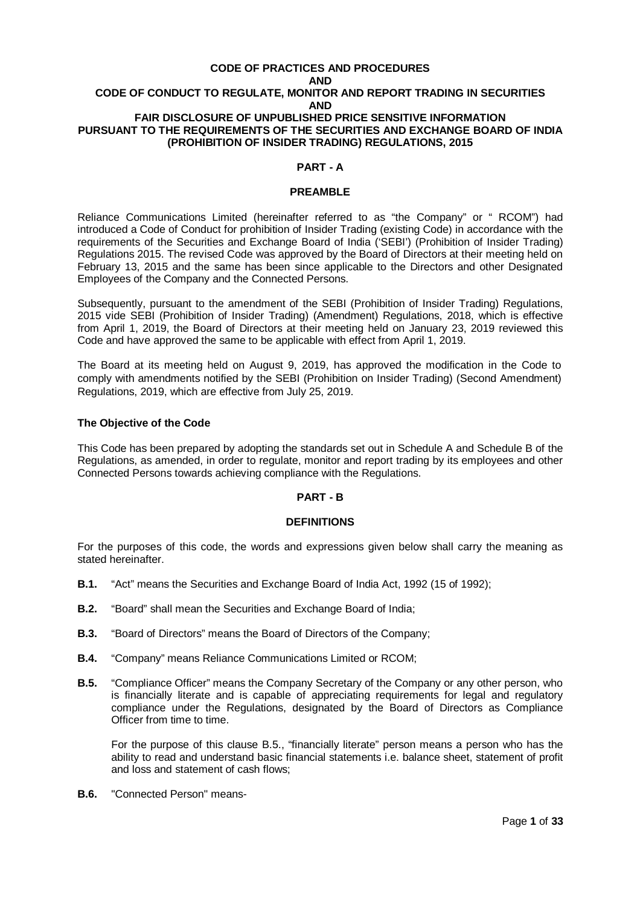#### **CODE OF PRACTICES AND PROCEDURES**

#### **AND CODE OF CONDUCT TO REGULATE, MONITOR AND REPORT TRADING IN SECURITIES AND FAIR DISCLOSURE OF UNPUBLISHED PRICE SENSITIVE INFORMATION PURSUANT TO THE REQUIREMENTS OF THE SECURITIES AND EXCHANGE BOARD OF INDIA (PROHIBITION OF INSIDER TRADING) REGULATIONS, 2015**

#### **PART - A**

#### **PREAMBLE**

Reliance Communications Limited (hereinafter referred to as "the Company" or " RCOM") had introduced a Code of Conduct for prohibition of Insider Trading (existing Code) in accordance with the requirements of the Securities and Exchange Board of India ('SEBI') (Prohibition of Insider Trading) Regulations 2015. The revised Code was approved by the Board of Directors at their meeting held on February 13, 2015 and the same has been since applicable to the Directors and other Designated Employees of the Company and the Connected Persons.

Subsequently, pursuant to the amendment of the SEBI (Prohibition of Insider Trading) Regulations, 2015 vide SEBI (Prohibition of Insider Trading) (Amendment) Regulations, 2018, which is effective from April 1, 2019, the Board of Directors at their meeting held on January 23, 2019 reviewed this Code and have approved the same to be applicable with effect from April 1, 2019.

The Board at its meeting held on August 9, 2019, has approved the modification in the Code to comply with amendments notified by the SEBI (Prohibition on Insider Trading) (Second Amendment) Regulations, 2019, which are effective from July 25, 2019.

#### **The Objective of the Code**

This Code has been prepared by adopting the standards set out in Schedule A and Schedule B of the Regulations, as amended, in order to regulate, monitor and report trading by its employees and other Connected Persons towards achieving compliance with the Regulations.

#### **PART - B**

#### **DEFINITIONS**

For the purposes of this code, the words and expressions given below shall carry the meaning as stated hereinafter.

- **B.1.** "Act" means the Securities and Exchange Board of India Act, 1992 (15 of 1992);
- **B.2.** "Board" shall mean the Securities and Exchange Board of India;
- **B.3.** "Board of Directors" means the Board of Directors of the Company;
- **B.4.** "Company" means Reliance Communications Limited or RCOM;
- **B.5.** "Compliance Officer" means the Company Secretary of the Company or any other person, who is financially literate and is capable of appreciating requirements for legal and regulatory compliance under the Regulations, designated by the Board of Directors as Compliance Officer from time to time.

For the purpose of this clause B.5., "financially literate" person means a person who has the ability to read and understand basic financial statements i.e. balance sheet, statement of profit and loss and statement of cash flows;

**B.6.** "Connected Person" means-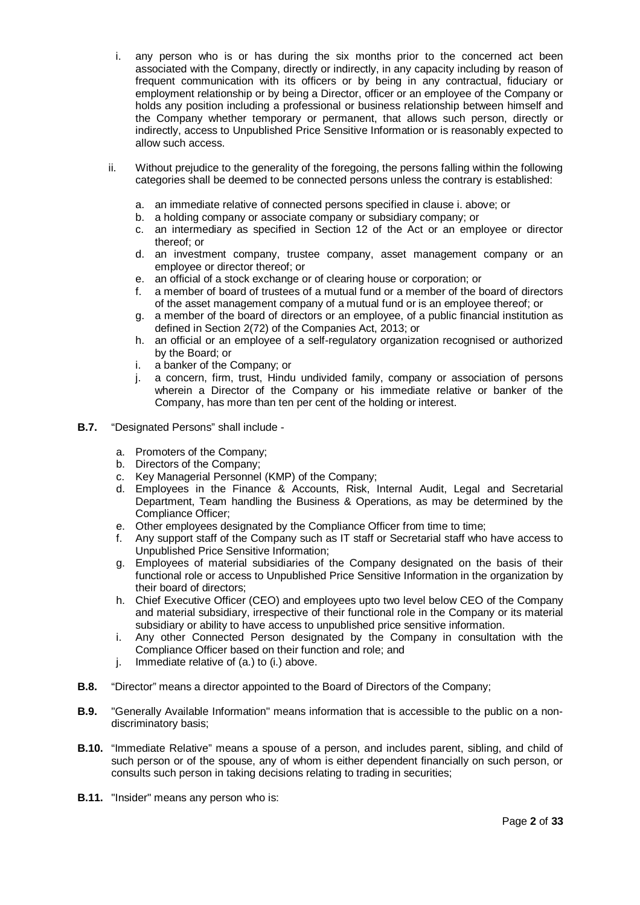- i. any person who is or has during the six months prior to the concerned act been associated with the Company, directly or indirectly, in any capacity including by reason of frequent communication with its officers or by being in any contractual, fiduciary or employment relationship or by being a Director, officer or an employee of the Company or holds any position including a professional or business relationship between himself and the Company whether temporary or permanent, that allows such person, directly or indirectly, access to Unpublished Price Sensitive Information or is reasonably expected to allow such access.
- ii. Without prejudice to the generality of the foregoing, the persons falling within the following categories shall be deemed to be connected persons unless the contrary is established:
	- a. an immediate relative of connected persons specified in clause i. above; or
	- b. a holding company or associate company or subsidiary company; or
	- c. an intermediary as specified in Section 12 of the Act or an employee or director thereof; or
	- d. an investment company, trustee company, asset management company or an employee or director thereof; or
	- e. an official of a stock exchange or of clearing house or corporation; or
	- f. a member of board of trustees of a mutual fund or a member of the board of directors of the asset management company of a mutual fund or is an employee thereof; or
	- g. a member of the board of directors or an employee, of a public financial institution as defined in Section 2(72) of the Companies Act, 2013; or
	- h. an official or an employee of a self-regulatory organization recognised or authorized by the Board; or
	- i. a banker of the Company; or
	- j. a concern, firm, trust, Hindu undivided family, company or association of persons wherein a Director of the Company or his immediate relative or banker of the Company, has more than ten per cent of the holding or interest.
- **B.7.** "Designated Persons" shall include
	- a. Promoters of the Company;
	- b. Directors of the Company;
	- c. Key Managerial Personnel (KMP) of the Company;
	- d. Employees in the Finance & Accounts, Risk, Internal Audit, Legal and Secretarial Department, Team handling the Business & Operations, as may be determined by the Compliance Officer;
	- e. Other employees designated by the Compliance Officer from time to time;
	- f. Any support staff of the Company such as IT staff or Secretarial staff who have access to Unpublished Price Sensitive Information;
	- g. Employees of material subsidiaries of the Company designated on the basis of their functional role or access to Unpublished Price Sensitive Information in the organization by their board of directors;
	- h. Chief Executive Officer (CEO) and employees upto two level below CEO of the Company and material subsidiary, irrespective of their functional role in the Company or its material subsidiary or ability to have access to unpublished price sensitive information.
	- i. Any other Connected Person designated by the Company in consultation with the Compliance Officer based on their function and role; and
	- j. Immediate relative of (a.) to (i.) above.
- **B.8.** "Director" means a director appointed to the Board of Directors of the Company;
- **B.9.** "Generally Available Information" means information that is accessible to the public on a nondiscriminatory basis;
- **B.10.** "Immediate Relative" means a spouse of a person, and includes parent, sibling, and child of such person or of the spouse, any of whom is either dependent financially on such person, or consults such person in taking decisions relating to trading in securities;
- **B.11.** "Insider" means any person who is: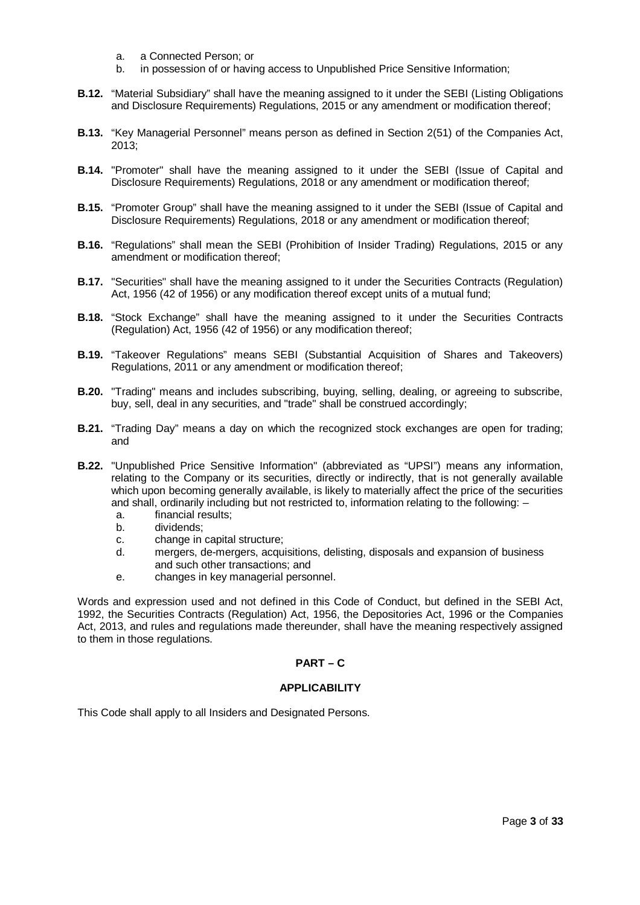- a. a Connected Person; or
- b. in possession of or having access to Unpublished Price Sensitive Information;
- **B.12.** "Material Subsidiary" shall have the meaning assigned to it under the SEBI (Listing Obligations and Disclosure Requirements) Regulations, 2015 or any amendment or modification thereof;
- **B.13.** "Key Managerial Personnel" means person as defined in Section 2(51) of the Companies Act, 2013;
- **B.14.** "Promoter" shall have the meaning assigned to it under the SEBI (Issue of Capital and Disclosure Requirements) Regulations, 2018 or any amendment or modification thereof;
- **B.15.** "Promoter Group" shall have the meaning assigned to it under the SEBI (Issue of Capital and Disclosure Requirements) Regulations, 2018 or any amendment or modification thereof;
- **B.16.** "Regulations" shall mean the SEBI (Prohibition of Insider Trading) Regulations, 2015 or any amendment or modification thereof;
- **B.17.** "Securities" shall have the meaning assigned to it under the Securities Contracts (Regulation) Act, 1956 (42 of 1956) or any modification thereof except units of a mutual fund;
- **B.18.** "Stock Exchange" shall have the meaning assigned to it under the Securities Contracts (Regulation) Act, 1956 (42 of 1956) or any modification thereof;
- **B.19.** "Takeover Regulations" means SEBI (Substantial Acquisition of Shares and Takeovers) Regulations, 2011 or any amendment or modification thereof;
- **B.20.** "Trading" means and includes subscribing, buying, selling, dealing, or agreeing to subscribe, buy, sell, deal in any securities, and "trade" shall be construed accordingly;
- **B.21.** "Trading Day" means a day on which the recognized stock exchanges are open for trading; and
- **B.22.** "Unpublished Price Sensitive Information" (abbreviated as "UPSI") means any information, relating to the Company or its securities, directly or indirectly, that is not generally available which upon becoming generally available, is likely to materially affect the price of the securities and shall, ordinarily including but not restricted to, information relating to the following: –
	- a. financial results;
	- b. dividends;
	- c. change in capital structure;
	- d. mergers, de-mergers, acquisitions, delisting, disposals and expansion of business and such other transactions; and
	- e. changes in key managerial personnel.

Words and expression used and not defined in this Code of Conduct, but defined in the SEBI Act, 1992, the Securities Contracts (Regulation) Act, 1956, the Depositories Act, 1996 or the Companies Act, 2013, and rules and regulations made thereunder, shall have the meaning respectively assigned to them in those regulations.

## **PART – C**

#### **APPLICABILITY**

This Code shall apply to all Insiders and Designated Persons.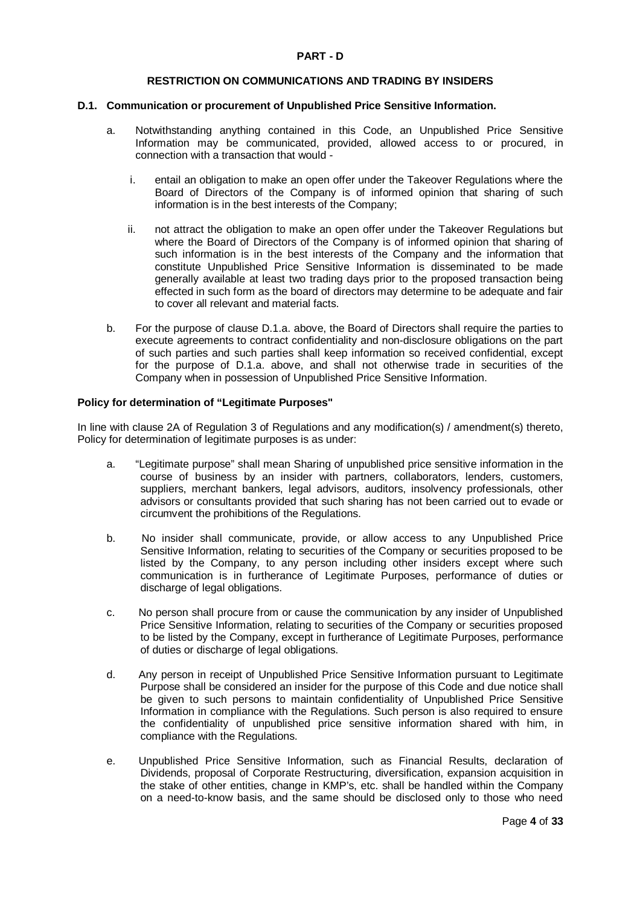### **PART - D**

#### **RESTRICTION ON COMMUNICATIONS AND TRADING BY INSIDERS**

#### **D.1. Communication or procurement of Unpublished Price Sensitive Information.**

- a. Notwithstanding anything contained in this Code, an Unpublished Price Sensitive Information may be communicated, provided, allowed access to or procured, in connection with a transaction that would
	- i. entail an obligation to make an open offer under the Takeover Regulations where the Board of Directors of the Company is of informed opinion that sharing of such information is in the best interests of the Company;
	- ii. not attract the obligation to make an open offer under the Takeover Regulations but where the Board of Directors of the Company is of informed opinion that sharing of such information is in the best interests of the Company and the information that constitute Unpublished Price Sensitive Information is disseminated to be made generally available at least two trading days prior to the proposed transaction being effected in such form as the board of directors may determine to be adequate and fair to cover all relevant and material facts.
- b. For the purpose of clause D.1.a. above, the Board of Directors shall require the parties to execute agreements to contract confidentiality and non-disclosure obligations on the part of such parties and such parties shall keep information so received confidential, except for the purpose of D.1.a. above, and shall not otherwise trade in securities of the Company when in possession of Unpublished Price Sensitive Information.

#### **Policy for determination of "Legitimate Purposes"**

In line with clause 2A of Regulation 3 of Regulations and any modification(s) / amendment(s) thereto, Policy for determination of legitimate purposes is as under:

- a. "Legitimate purpose" shall mean Sharing of unpublished price sensitive information in the course of business by an insider with partners, collaborators, lenders, customers, suppliers, merchant bankers, legal advisors, auditors, insolvency professionals, other advisors or consultants provided that such sharing has not been carried out to evade or circumvent the prohibitions of the Regulations.
- b. No insider shall communicate, provide, or allow access to any Unpublished Price Sensitive Information, relating to securities of the Company or securities proposed to be listed by the Company, to any person including other insiders except where such communication is in furtherance of Legitimate Purposes, performance of duties or discharge of legal obligations.
- c. No person shall procure from or cause the communication by any insider of Unpublished Price Sensitive Information, relating to securities of the Company or securities proposed to be listed by the Company, except in furtherance of Legitimate Purposes, performance of duties or discharge of legal obligations.
- d. Any person in receipt of Unpublished Price Sensitive Information pursuant to Legitimate Purpose shall be considered an insider for the purpose of this Code and due notice shall be given to such persons to maintain confidentiality of Unpublished Price Sensitive Information in compliance with the Regulations. Such person is also required to ensure the confidentiality of unpublished price sensitive information shared with him, in compliance with the Regulations.
- e. Unpublished Price Sensitive Information, such as Financial Results, declaration of Dividends, proposal of Corporate Restructuring, diversification, expansion acquisition in the stake of other entities, change in KMP's, etc. shall be handled within the Company on a need-to-know basis, and the same should be disclosed only to those who need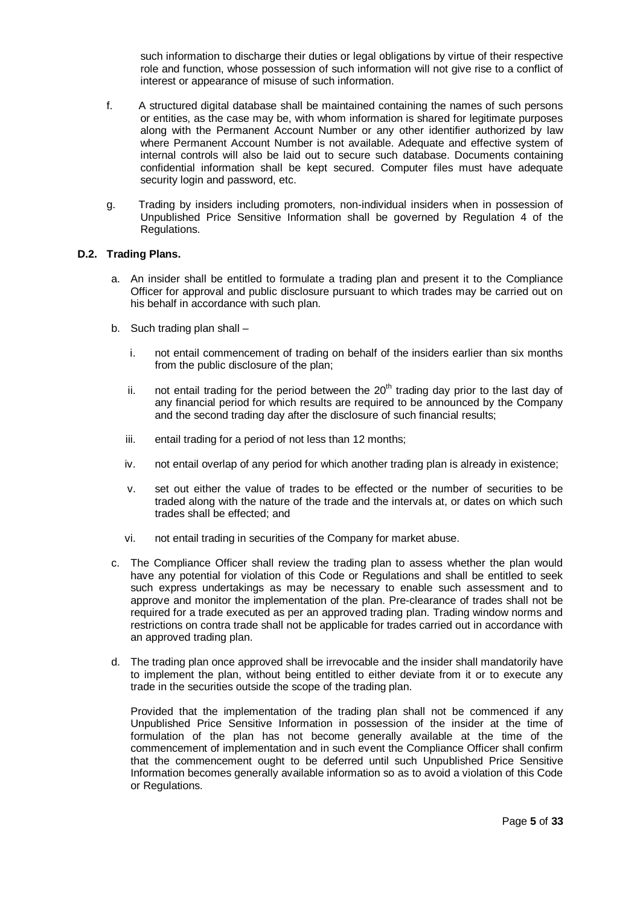such information to discharge their duties or legal obligations by virtue of their respective role and function, whose possession of such information will not give rise to a conflict of interest or appearance of misuse of such information.

- f. A structured digital database shall be maintained containing the names of such persons or entities, as the case may be, with whom information is shared for legitimate purposes along with the Permanent Account Number or any other identifier authorized by law where Permanent Account Number is not available. Adequate and effective system of internal controls will also be laid out to secure such database. Documents containing confidential information shall be kept secured. Computer files must have adequate security login and password, etc.
- g. Trading by insiders including promoters, non-individual insiders when in possession of Unpublished Price Sensitive Information shall be governed by Regulation 4 of the Regulations.

## **D.2. Trading Plans.**

- a. An insider shall be entitled to formulate a trading plan and present it to the Compliance Officer for approval and public disclosure pursuant to which trades may be carried out on his behalf in accordance with such plan.
- b. Such trading plan shall
	- i. not entail commencement of trading on behalf of the insiders earlier than six months from the public disclosure of the plan;
	- ii. not entail trading for the period between the  $20<sup>th</sup>$  trading day prior to the last day of any financial period for which results are required to be announced by the Company and the second trading day after the disclosure of such financial results;
	- iii. entail trading for a period of not less than 12 months;
	- iv. not entail overlap of any period for which another trading plan is already in existence;
	- v. set out either the value of trades to be effected or the number of securities to be traded along with the nature of the trade and the intervals at, or dates on which such trades shall be effected; and
	- vi. not entail trading in securities of the Company for market abuse.
- c. The Compliance Officer shall review the trading plan to assess whether the plan would have any potential for violation of this Code or Regulations and shall be entitled to seek such express undertakings as may be necessary to enable such assessment and to approve and monitor the implementation of the plan. Pre-clearance of trades shall not be required for a trade executed as per an approved trading plan. Trading window norms and restrictions on contra trade shall not be applicable for trades carried out in accordance with an approved trading plan.
- d. The trading plan once approved shall be irrevocable and the insider shall mandatorily have to implement the plan, without being entitled to either deviate from it or to execute any trade in the securities outside the scope of the trading plan.

Provided that the implementation of the trading plan shall not be commenced if any Unpublished Price Sensitive Information in possession of the insider at the time of formulation of the plan has not become generally available at the time of the commencement of implementation and in such event the Compliance Officer shall confirm that the commencement ought to be deferred until such Unpublished Price Sensitive Information becomes generally available information so as to avoid a violation of this Code or Regulations.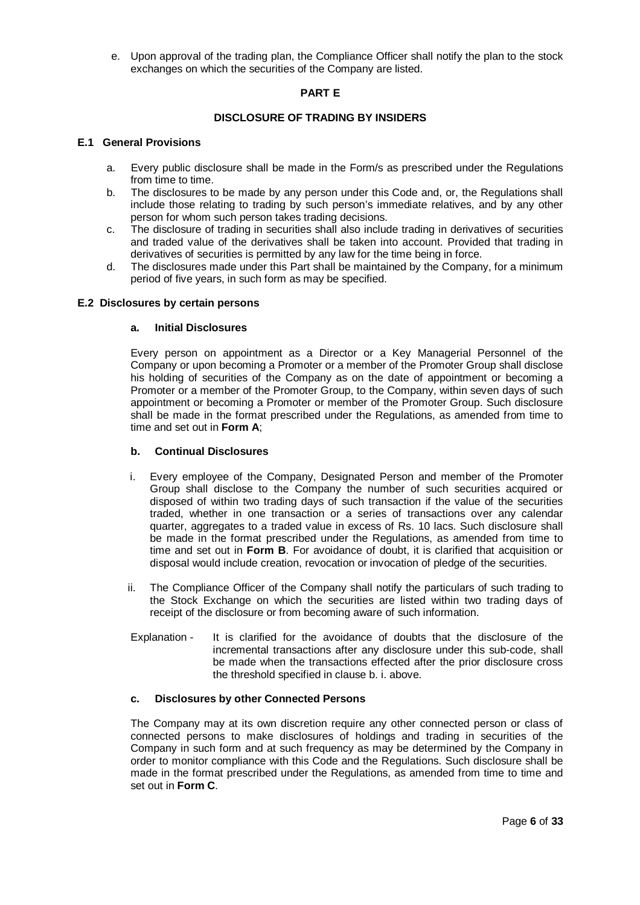e. Upon approval of the trading plan, the Compliance Officer shall notify the plan to the stock exchanges on which the securities of the Company are listed.

## **PART E**

### **DISCLOSURE OF TRADING BY INSIDERS**

### **E.1 General Provisions**

- a. Every public disclosure shall be made in the Form/s as prescribed under the Regulations from time to time.
- b. The disclosures to be made by any person under this Code and, or, the Regulations shall include those relating to trading by such person's immediate relatives, and by any other person for whom such person takes trading decisions.
- c. The disclosure of trading in securities shall also include trading in derivatives of securities and traded value of the derivatives shall be taken into account. Provided that trading in derivatives of securities is permitted by any law for the time being in force.
- d. The disclosures made under this Part shall be maintained by the Company, for a minimum period of five years, in such form as may be specified.

## **E.2 Disclosures by certain persons**

#### **a. Initial Disclosures**

Every person on appointment as a Director or a Key Managerial Personnel of the Company or upon becoming a Promoter or a member of the Promoter Group shall disclose his holding of securities of the Company as on the date of appointment or becoming a Promoter or a member of the Promoter Group, to the Company, within seven days of such appointment or becoming a Promoter or member of the Promoter Group. Such disclosure shall be made in the format prescribed under the Regulations, as amended from time to time and set out in **Form A**;

### **b. Continual Disclosures**

- i. Every employee of the Company, Designated Person and member of the Promoter Group shall disclose to the Company the number of such securities acquired or disposed of within two trading days of such transaction if the value of the securities traded, whether in one transaction or a series of transactions over any calendar quarter, aggregates to a traded value in excess of Rs. 10 lacs. Such disclosure shall be made in the format prescribed under the Regulations, as amended from time to time and set out in **Form B**. For avoidance of doubt, it is clarified that acquisition or disposal would include creation, revocation or invocation of pledge of the securities.
- ii. The Compliance Officer of the Company shall notify the particulars of such trading to the Stock Exchange on which the securities are listed within two trading days of receipt of the disclosure or from becoming aware of such information.
- Explanation It is clarified for the avoidance of doubts that the disclosure of the incremental transactions after any disclosure under this sub-code, shall be made when the transactions effected after the prior disclosure cross the threshold specified in clause b. i. above.

#### **c. Disclosures by other Connected Persons**

The Company may at its own discretion require any other connected person or class of connected persons to make disclosures of holdings and trading in securities of the Company in such form and at such frequency as may be determined by the Company in order to monitor compliance with this Code and the Regulations. Such disclosure shall be made in the format prescribed under the Regulations, as amended from time to time and set out in **Form C**.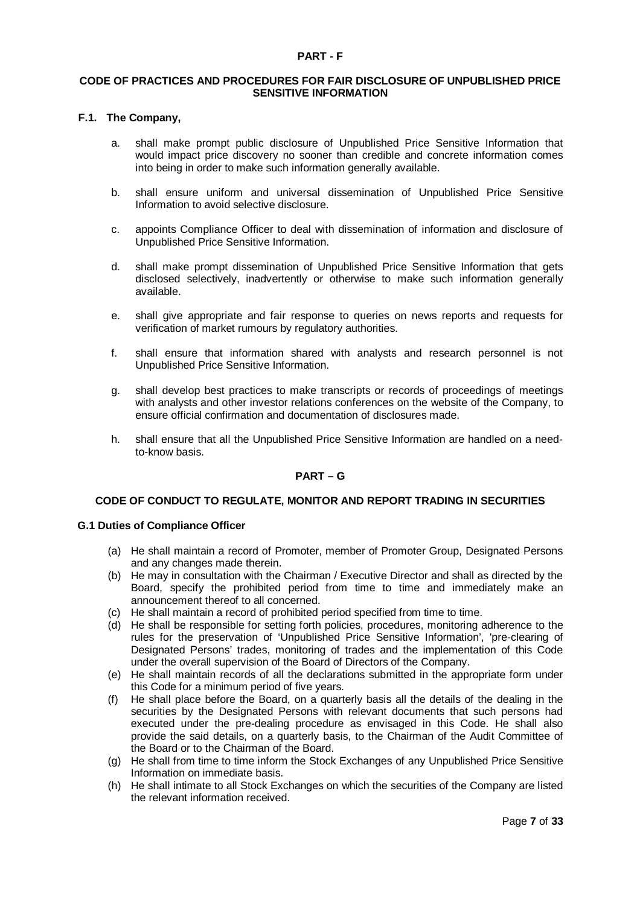#### **PART - F**

### **CODE OF PRACTICES AND PROCEDURES FOR FAIR DISCLOSURE OF UNPUBLISHED PRICE SENSITIVE INFORMATION**

#### **F.1. The Company,**

- a. shall make prompt public disclosure of Unpublished Price Sensitive Information that would impact price discovery no sooner than credible and concrete information comes into being in order to make such information generally available.
- b. shall ensure uniform and universal dissemination of Unpublished Price Sensitive Information to avoid selective disclosure.
- c. appoints Compliance Officer to deal with dissemination of information and disclosure of Unpublished Price Sensitive Information.
- d. shall make prompt dissemination of Unpublished Price Sensitive Information that gets disclosed selectively, inadvertently or otherwise to make such information generally available.
- e. shall give appropriate and fair response to queries on news reports and requests for verification of market rumours by regulatory authorities.
- f. shall ensure that information shared with analysts and research personnel is not Unpublished Price Sensitive Information.
- g. shall develop best practices to make transcripts or records of proceedings of meetings with analysts and other investor relations conferences on the website of the Company, to ensure official confirmation and documentation of disclosures made.
- h. shall ensure that all the Unpublished Price Sensitive Information are handled on a needto-know basis.

## **PART – G**

### **CODE OF CONDUCT TO REGULATE, MONITOR AND REPORT TRADING IN SECURITIES**

### **G.1 Duties of Compliance Officer**

- (a) He shall maintain a record of Promoter, member of Promoter Group, Designated Persons and any changes made therein.
- (b) He may in consultation with the Chairman / Executive Director and shall as directed by the Board, specify the prohibited period from time to time and immediately make an announcement thereof to all concerned.
- (c) He shall maintain a record of prohibited period specified from time to time.
- (d) He shall be responsible for setting forth policies, procedures, monitoring adherence to the rules for the preservation of 'Unpublished Price Sensitive Information', 'pre-clearing of Designated Persons' trades, monitoring of trades and the implementation of this Code under the overall supervision of the Board of Directors of the Company.
- (e) He shall maintain records of all the declarations submitted in the appropriate form under this Code for a minimum period of five years.
- (f) He shall place before the Board, on a quarterly basis all the details of the dealing in the securities by the Designated Persons with relevant documents that such persons had executed under the pre-dealing procedure as envisaged in this Code. He shall also provide the said details, on a quarterly basis, to the Chairman of the Audit Committee of the Board or to the Chairman of the Board.
- (g) He shall from time to time inform the Stock Exchanges of any Unpublished Price Sensitive Information on immediate basis.
- (h) He shall intimate to all Stock Exchanges on which the securities of the Company are listed the relevant information received.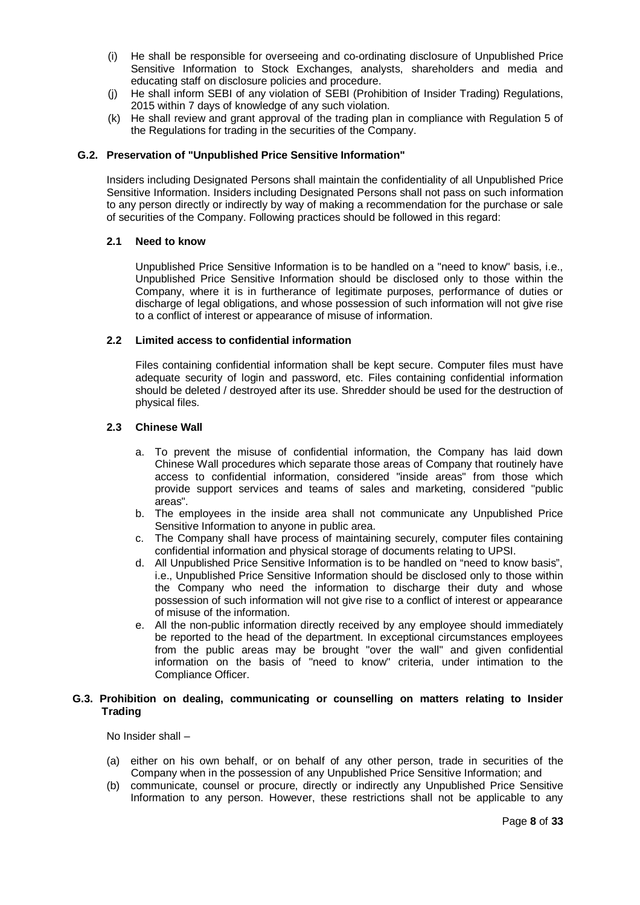- (i) He shall be responsible for overseeing and co-ordinating disclosure of Unpublished Price Sensitive Information to Stock Exchanges, analysts, shareholders and media and educating staff on disclosure policies and procedure.
- (j) He shall inform SEBI of any violation of SEBI (Prohibition of Insider Trading) Regulations, 2015 within 7 days of knowledge of any such violation.
- (k) He shall review and grant approval of the trading plan in compliance with Regulation 5 of the Regulations for trading in the securities of the Company.

### **G.2. Preservation of "Unpublished Price Sensitive Information"**

Insiders including Designated Persons shall maintain the confidentiality of all Unpublished Price Sensitive Information. Insiders including Designated Persons shall not pass on such information to any person directly or indirectly by way of making a recommendation for the purchase or sale of securities of the Company. Following practices should be followed in this regard:

#### **2.1 Need to know**

Unpublished Price Sensitive Information is to be handled on a "need to know" basis, i.e., Unpublished Price Sensitive Information should be disclosed only to those within the Company, where it is in furtherance of legitimate purposes, performance of duties or discharge of legal obligations, and whose possession of such information will not give rise to a conflict of interest or appearance of misuse of information.

#### **2.2 Limited access to confidential information**

Files containing confidential information shall be kept secure. Computer files must have adequate security of login and password, etc. Files containing confidential information should be deleted / destroyed after its use. Shredder should be used for the destruction of physical files.

#### **2.3 Chinese Wall**

- a. To prevent the misuse of confidential information, the Company has laid down Chinese Wall procedures which separate those areas of Company that routinely have access to confidential information, considered "inside areas" from those which provide support services and teams of sales and marketing, considered "public areas".
- b. The employees in the inside area shall not communicate any Unpublished Price Sensitive Information to anyone in public area.
- c. The Company shall have process of maintaining securely, computer files containing confidential information and physical storage of documents relating to UPSI.
- d. All Unpublished Price Sensitive Information is to be handled on "need to know basis", i.e., Unpublished Price Sensitive Information should be disclosed only to those within the Company who need the information to discharge their duty and whose possession of such information will not give rise to a conflict of interest or appearance of misuse of the information.
- e. All the non-public information directly received by any employee should immediately be reported to the head of the department. In exceptional circumstances employees from the public areas may be brought "over the wall" and given confidential information on the basis of "need to know" criteria, under intimation to the Compliance Officer.

## **G.3. Prohibition on dealing, communicating or counselling on matters relating to Insider Trading**

No Insider shall –

- (a) either on his own behalf, or on behalf of any other person, trade in securities of the Company when in the possession of any Unpublished Price Sensitive Information; and
- (b) communicate, counsel or procure, directly or indirectly any Unpublished Price Sensitive Information to any person. However, these restrictions shall not be applicable to any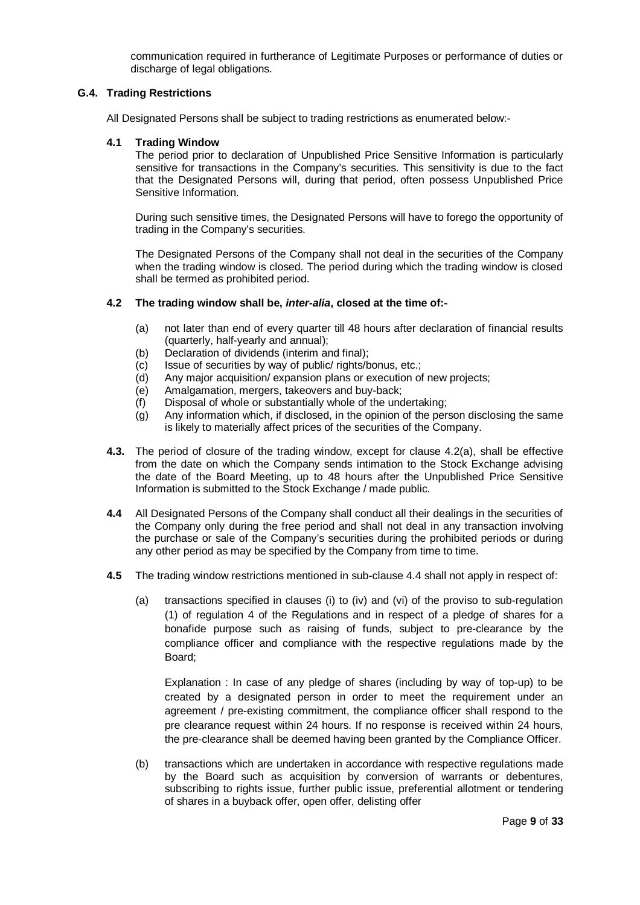communication required in furtherance of Legitimate Purposes or performance of duties or discharge of legal obligations.

## **G.4. Trading Restrictions**

All Designated Persons shall be subject to trading restrictions as enumerated below:-

#### **4.1 Trading Window**

The period prior to declaration of Unpublished Price Sensitive Information is particularly sensitive for transactions in the Company's securities. This sensitivity is due to the fact that the Designated Persons will, during that period, often possess Unpublished Price Sensitive Information.

During such sensitive times, the Designated Persons will have to forego the opportunity of trading in the Company's securities.

The Designated Persons of the Company shall not deal in the securities of the Company when the trading window is closed. The period during which the trading window is closed shall be termed as prohibited period.

#### **4.2 The trading window shall be,** *inter-alia***, closed at the time of:-**

- (a) not later than end of every quarter till 48 hours after declaration of financial results (quarterly, half-yearly and annual);
- (b) Declaration of dividends (interim and final);
- (c) Issue of securities by way of public/ rights/bonus, etc.;
- (d) Any major acquisition/ expansion plans or execution of new projects;
- (e) Amalgamation, mergers, takeovers and buy-back;
- (f) Disposal of whole or substantially whole of the undertaking;
- (g) Any information which, if disclosed, in the opinion of the person disclosing the same is likely to materially affect prices of the securities of the Company.
- **4.3.** The period of closure of the trading window, except for clause 4.2(a), shall be effective from the date on which the Company sends intimation to the Stock Exchange advising the date of the Board Meeting, up to 48 hours after the Unpublished Price Sensitive Information is submitted to the Stock Exchange / made public.
- **4.4** All Designated Persons of the Company shall conduct all their dealings in the securities of the Company only during the free period and shall not deal in any transaction involving the purchase or sale of the Company's securities during the prohibited periods or during any other period as may be specified by the Company from time to time.
- **4.5** The trading window restrictions mentioned in sub-clause 4.4 shall not apply in respect of:
	- (a) transactions specified in clauses (i) to (iv) and (vi) of the proviso to sub-regulation (1) of regulation 4 of the Regulations and in respect of a pledge of shares for a bonafide purpose such as raising of funds, subject to pre-clearance by the compliance officer and compliance with the respective regulations made by the Board;

Explanation : In case of any pledge of shares (including by way of top-up) to be created by a designated person in order to meet the requirement under an agreement / pre-existing commitment, the compliance officer shall respond to the pre clearance request within 24 hours. If no response is received within 24 hours, the pre-clearance shall be deemed having been granted by the Compliance Officer.

(b) transactions which are undertaken in accordance with respective regulations made by the Board such as acquisition by conversion of warrants or debentures, subscribing to rights issue, further public issue, preferential allotment or tendering of shares in a buyback offer, open offer, delisting offer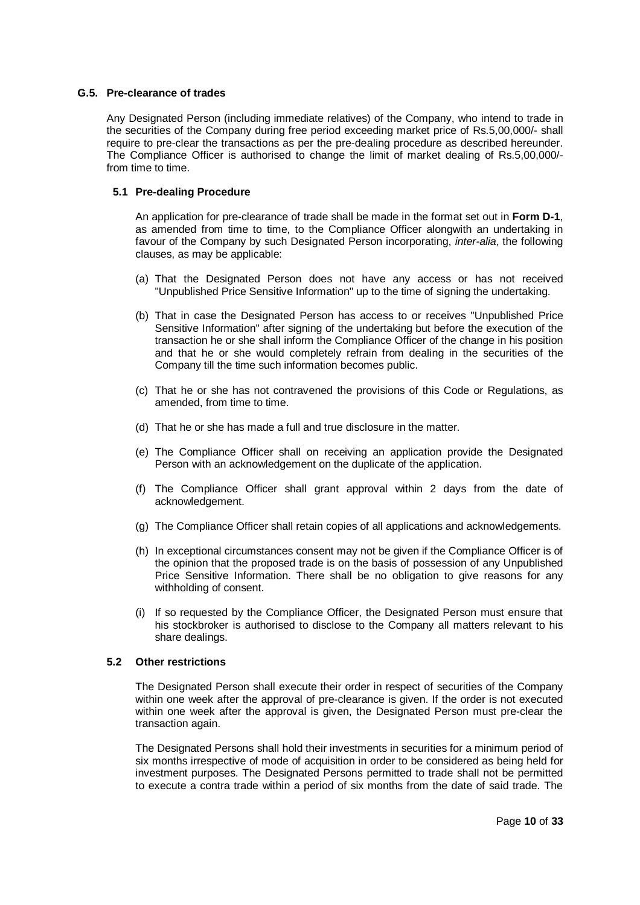### **G.5. Pre-clearance of trades**

Any Designated Person (including immediate relatives) of the Company, who intend to trade in the securities of the Company during free period exceeding market price of Rs.5,00,000/- shall require to pre-clear the transactions as per the pre-dealing procedure as described hereunder. The Compliance Officer is authorised to change the limit of market dealing of Rs.5,00,000/ from time to time.

## **5.1 Pre-dealing Procedure**

An application for pre-clearance of trade shall be made in the format set out in **Form D-1**, as amended from time to time, to the Compliance Officer alongwith an undertaking in favour of the Company by such Designated Person incorporating, *inter-alia*, the following clauses, as may be applicable:

- (a) That the Designated Person does not have any access or has not received "Unpublished Price Sensitive Information" up to the time of signing the undertaking.
- (b) That in case the Designated Person has access to or receives "Unpublished Price Sensitive Information" after signing of the undertaking but before the execution of the transaction he or she shall inform the Compliance Officer of the change in his position and that he or she would completely refrain from dealing in the securities of the Company till the time such information becomes public.
- (c) That he or she has not contravened the provisions of this Code or Regulations, as amended, from time to time.
- (d) That he or she has made a full and true disclosure in the matter.
- (e) The Compliance Officer shall on receiving an application provide the Designated Person with an acknowledgement on the duplicate of the application.
- (f) The Compliance Officer shall grant approval within 2 days from the date of acknowledgement.
- (g) The Compliance Officer shall retain copies of all applications and acknowledgements.
- (h) In exceptional circumstances consent may not be given if the Compliance Officer is of the opinion that the proposed trade is on the basis of possession of any Unpublished Price Sensitive Information. There shall be no obligation to give reasons for any withholding of consent.
- (i) If so requested by the Compliance Officer, the Designated Person must ensure that his stockbroker is authorised to disclose to the Company all matters relevant to his share dealings.

#### **5.2 Other restrictions**

The Designated Person shall execute their order in respect of securities of the Company within one week after the approval of pre-clearance is given. If the order is not executed within one week after the approval is given, the Designated Person must pre-clear the transaction again.

The Designated Persons shall hold their investments in securities for a minimum period of six months irrespective of mode of acquisition in order to be considered as being held for investment purposes. The Designated Persons permitted to trade shall not be permitted to execute a contra trade within a period of six months from the date of said trade. The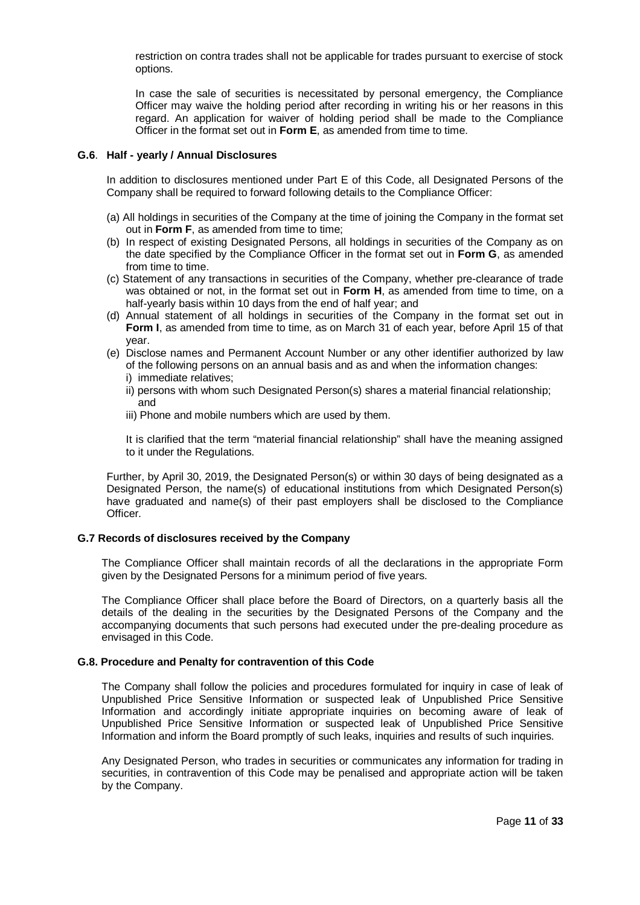restriction on contra trades shall not be applicable for trades pursuant to exercise of stock options.

In case the sale of securities is necessitated by personal emergency, the Compliance Officer may waive the holding period after recording in writing his or her reasons in this regard. An application for waiver of holding period shall be made to the Compliance Officer in the format set out in **Form E**, as amended from time to time.

#### **G.6**. **Half - yearly / Annual Disclosures**

In addition to disclosures mentioned under Part E of this Code, all Designated Persons of the Company shall be required to forward following details to the Compliance Officer:

- (a) All holdings in securities of the Company at the time of joining the Company in the format set out in **Form F**, as amended from time to time;
- (b) In respect of existing Designated Persons, all holdings in securities of the Company as on the date specified by the Compliance Officer in the format set out in **Form G**, as amended from time to time.
- (c) Statement of any transactions in securities of the Company, whether pre-clearance of trade was obtained or not, in the format set out in **Form H**, as amended from time to time, on a half-yearly basis within 10 days from the end of half year; and
- (d) Annual statement of all holdings in securities of the Company in the format set out in **Form I**, as amended from time to time, as on March 31 of each year, before April 15 of that year.
- (e) Disclose names and Permanent Account Number or any other identifier authorized by law of the following persons on an annual basis and as and when the information changes:
	- i) immediate relatives;
	- ii) persons with whom such Designated Person(s) shares a material financial relationship; and
	- iii) Phone and mobile numbers which are used by them.

It is clarified that the term "material financial relationship" shall have the meaning assigned to it under the Regulations.

Further, by April 30, 2019, the Designated Person(s) or within 30 days of being designated as a Designated Person, the name(s) of educational institutions from which Designated Person(s) have graduated and name(s) of their past employers shall be disclosed to the Compliance **Officer** 

#### **G.7 Records of disclosures received by the Company**

The Compliance Officer shall maintain records of all the declarations in the appropriate Form given by the Designated Persons for a minimum period of five years.

The Compliance Officer shall place before the Board of Directors, on a quarterly basis all the details of the dealing in the securities by the Designated Persons of the Company and the accompanying documents that such persons had executed under the pre-dealing procedure as envisaged in this Code.

#### **G.8. Procedure and Penalty for contravention of this Code**

The Company shall follow the policies and procedures formulated for inquiry in case of leak of Unpublished Price Sensitive Information or suspected leak of Unpublished Price Sensitive Information and accordingly initiate appropriate inquiries on becoming aware of leak of Unpublished Price Sensitive Information or suspected leak of Unpublished Price Sensitive Information and inform the Board promptly of such leaks, inquiries and results of such inquiries.

Any Designated Person, who trades in securities or communicates any information for trading in securities, in contravention of this Code may be penalised and appropriate action will be taken by the Company.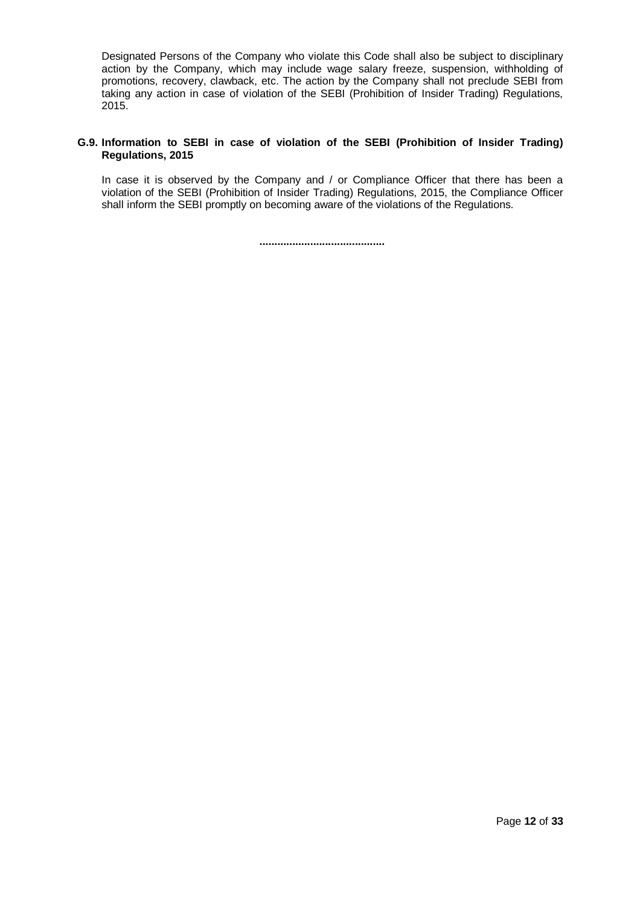Designated Persons of the Company who violate this Code shall also be subject to disciplinary action by the Company, which may include wage salary freeze, suspension, withholding of promotions, recovery, clawback, etc. The action by the Company shall not preclude SEBI from taking any action in case of violation of the SEBI (Prohibition of Insider Trading) Regulations, 2015.

## **G.9. Information to SEBI in case of violation of the SEBI (Prohibition of Insider Trading) Regulations, 2015**

In case it is observed by the Company and / or Compliance Officer that there has been a violation of the SEBI (Prohibition of Insider Trading) Regulations, 2015, the Compliance Officer shall inform the SEBI promptly on becoming aware of the violations of the Regulations.

**..........................................**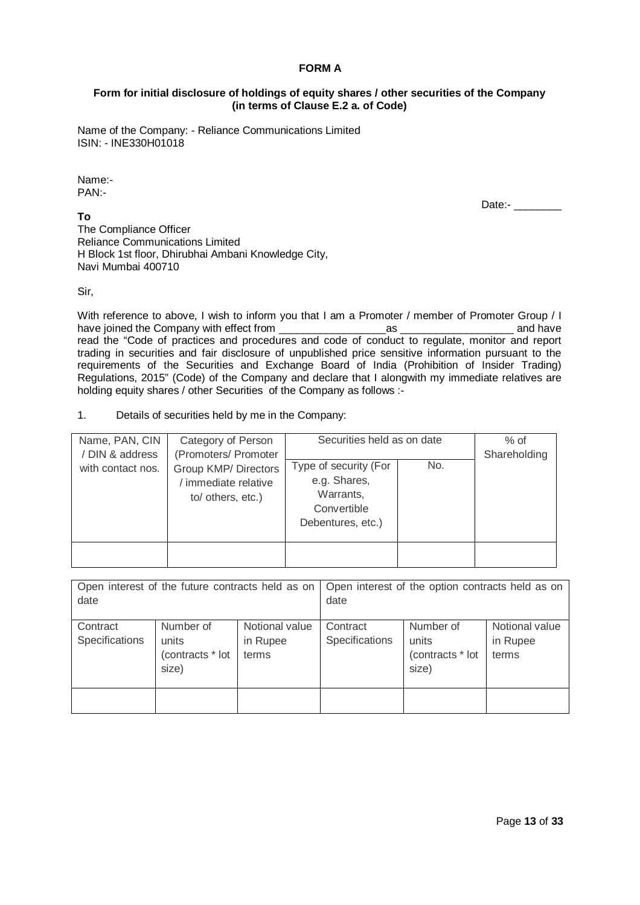## **FORM A**

## **Form for initial disclosure of holdings of equity shares / other securities of the Company (in terms of Clause E.2 a. of Code)**

Name of the Company: - Reliance Communications Limited ISIN: - INE330H01018

Name:- PAN:-

## **To**

Date:- \_\_\_\_\_\_\_

The Compliance Officer Reliance Communications Limited H Block 1st floor, Dhirubhai Ambani Knowledge City, Navi Mumbai 400710

Sir,

With reference to above, I wish to inform you that I am a Promoter / member of Promoter Group / I have joined the Company with effect from example of the same of the company with effect from  $\overline{a}$  as  $\overline{a}$  and have read the "Code of practices and procedures and code of conduct to regulate, monitor and report trading in securities and fair disclosure of unpublished price sensitive information pursuant to the requirements of the Securities and Exchange Board of India (Prohibition of Insider Trading) Regulations, 2015" (Code) of the Company and declare that I alongwith my immediate relatives are holding equity shares / other Securities of the Company as follows :-

1. Details of securities held by me in the Company:

| Name, PAN, CIN<br>/ DIN & address | Category of Person<br>(Promoters/ Promoter                               | Securities held as on date                                                             |     | $%$ of<br>Shareholding |
|-----------------------------------|--------------------------------------------------------------------------|----------------------------------------------------------------------------------------|-----|------------------------|
| with contact nos.                 | <b>Group KMP/ Directors</b><br>/ immediate relative<br>to/ others, etc.) | Type of security (For<br>e.g. Shares,<br>Warrants,<br>Convertible<br>Debentures, etc.) | No. |                        |
|                                   |                                                                          |                                                                                        |     |                        |

| date                       | Open interest of the future contracts held as on |                                     | date                       | Open interest of the option contracts held as on |                                     |
|----------------------------|--------------------------------------------------|-------------------------------------|----------------------------|--------------------------------------------------|-------------------------------------|
| Contract<br>Specifications | Number of<br>units<br>(contracts * lot<br>size)  | Notional value<br>in Rupee<br>terms | Contract<br>Specifications | Number of<br>units<br>(contracts * lot<br>size)  | Notional value<br>in Rupee<br>terms |
|                            |                                                  |                                     |                            |                                                  |                                     |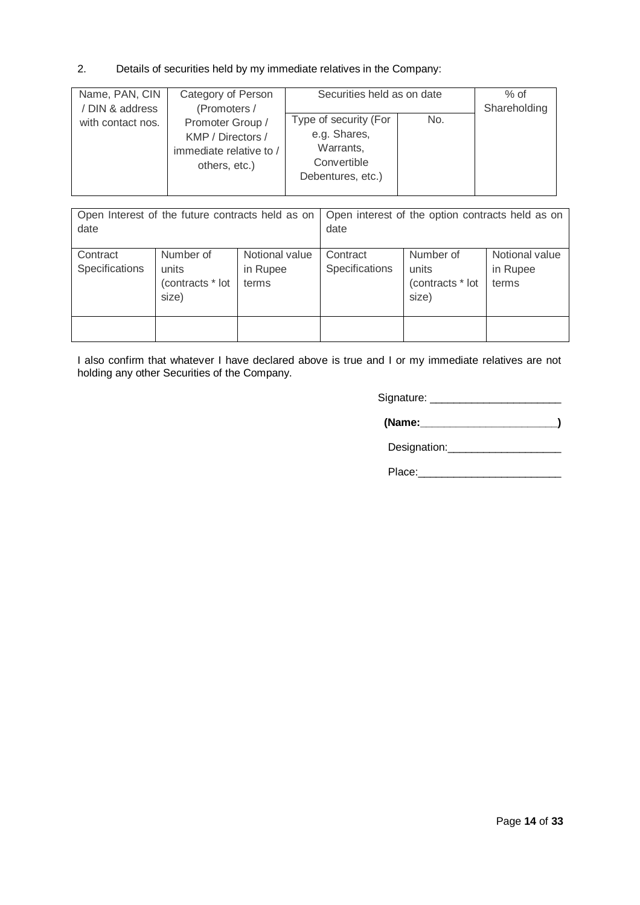## 2. Details of securities held by my immediate relatives in the Company:

| Name, PAN, CIN    | Category of Person      | Securities held as on date | $%$ of |              |
|-------------------|-------------------------|----------------------------|--------|--------------|
| / DIN & address   | (Promoters /            |                            |        | Shareholding |
| with contact nos. | Promoter Group /        | Type of security (For      | No.    |              |
|                   | KMP / Directors /       | e.g. Shares,               |        |              |
|                   | immediate relative to / | Warrants,                  |        |              |
|                   | others, etc.)           | Convertible                |        |              |
|                   |                         | Debentures, etc.)          |        |              |
|                   |                         |                            |        |              |

| date                       | Open Interest of the future contracts held as on |                                     | date                       | Open interest of the option contracts held as on |                                     |
|----------------------------|--------------------------------------------------|-------------------------------------|----------------------------|--------------------------------------------------|-------------------------------------|
| Contract<br>Specifications | Number of<br>units<br>(contracts * lot<br>size)  | Notional value<br>in Rupee<br>terms | Contract<br>Specifications | Number of<br>units<br>(contracts * lot<br>size)  | Notional value<br>in Rupee<br>terms |
|                            |                                                  |                                     |                            |                                                  |                                     |

I also confirm that whatever I have declared above is true and I or my immediate relatives are not holding any other Securities of the Company.

Signature: \_\_\_\_\_\_\_\_\_\_\_\_\_\_\_\_\_\_\_\_\_\_

 **(Name:\_\_\_\_\_\_\_\_\_\_\_\_\_\_\_\_\_\_\_\_\_\_\_)**

Designation:\_\_\_\_\_\_\_\_\_\_\_\_\_\_\_\_\_\_\_

Place:\_\_\_\_\_\_\_\_\_\_\_\_\_\_\_\_\_\_\_\_\_\_\_\_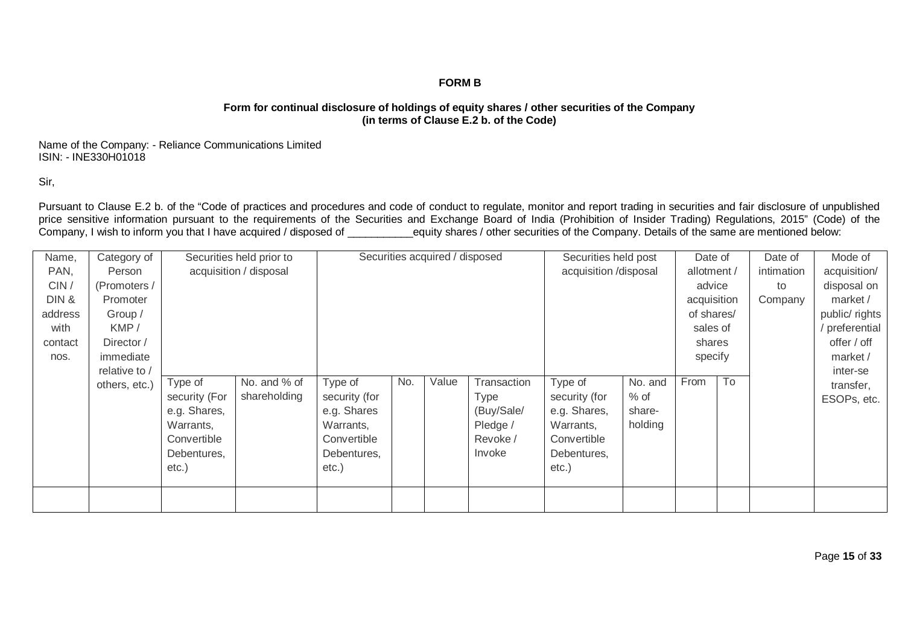## **FORM B**

## **Form for continual disclosure of holdings of equity shares / other securities of the Company (in terms of Clause E.2 b. of the Code)**

Name of the Company: - Reliance Communications Limited ISIN: - INE330H01018

Sir,

Pursuant to Clause E.2 b. of the "Code of practices and procedures and code of conduct to regulate, monitor and report trading in securities and fair disclosure of unpublished price sensitive information pursuant to the requirements of the Securities and Exchange Board of India (Prohibition of Insider Trading) Regulations, 2015" (Code) of the Company, I wish to inform you that I have acquired / disposed of equity shares / other securities of the Company. Details of the same are mentioned below:

| Name,   | Category of   |               | Securities held prior to |               |     | Securities acquired / disposed |             | Securities held post  |         | Date of     |    | Date of    | Mode of       |
|---------|---------------|---------------|--------------------------|---------------|-----|--------------------------------|-------------|-----------------------|---------|-------------|----|------------|---------------|
| PAN,    | Person        |               | acquisition / disposal   |               |     |                                |             | acquisition /disposal |         | allotment / |    | intimation | acquisition/  |
| CIN/    | (Promoters /  |               |                          |               |     |                                |             |                       |         | advice      |    | to         | disposal on   |
| DIN&    | Promoter      |               |                          |               |     |                                |             |                       |         | acquisition |    | Company    | market /      |
| address | Group /       |               |                          |               |     |                                |             |                       |         | of shares/  |    |            | public/rights |
| with    | KMP/          |               |                          |               |     |                                |             |                       |         | sales of    |    |            | preferential  |
| contact | Director /    |               |                          |               |     |                                |             |                       |         | shares      |    |            | offer / off   |
| nos.    | immediate     |               |                          |               |     |                                |             |                       |         | specify     |    |            | market /      |
|         | relative to / |               |                          |               |     |                                |             |                       |         |             |    |            | inter-se      |
|         | others, etc.) | Type of       | No. and % of             | Type of       | No. | Value                          | Transaction | Type of               | No. and | From        | To |            | transfer,     |
|         |               | security (For | shareholding             | security (for |     |                                | Type        | security (for         | $%$ of  |             |    |            | ESOPs, etc.   |
|         |               | e.g. Shares,  |                          | e.g. Shares   |     |                                | (Buy/Sale/  | e.g. Shares,          | share-  |             |    |            |               |
|         |               | Warrants,     |                          | Warrants,     |     |                                | Pledge /    | Warrants,             | holding |             |    |            |               |
|         |               | Convertible   |                          | Convertible   |     |                                | Revoke /    | Convertible           |         |             |    |            |               |
|         |               | Debentures,   |                          | Debentures,   |     |                                | Invoke      | Debentures,           |         |             |    |            |               |
|         |               | $etc.$ )      |                          | $etc.$ )      |     |                                |             | $etc.$ )              |         |             |    |            |               |
|         |               |               |                          |               |     |                                |             |                       |         |             |    |            |               |
|         |               |               |                          |               |     |                                |             |                       |         |             |    |            |               |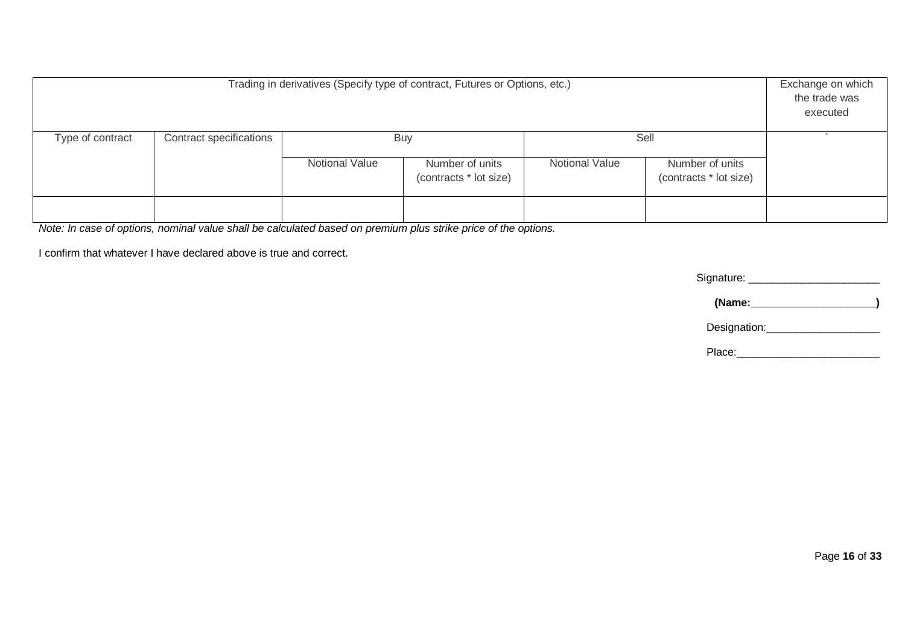|                  | Trading in derivatives (Specify type of contract, Futures or Options, etc.) |                |                                                                                                                 |  |  |  |  |  |
|------------------|-----------------------------------------------------------------------------|----------------|-----------------------------------------------------------------------------------------------------------------|--|--|--|--|--|
| Type of contract | Contract specifications                                                     |                | Sell<br><b>Buy</b>                                                                                              |  |  |  |  |  |
|                  |                                                                             | Notional Value | <b>Notional Value</b><br>Number of units<br>Number of units<br>(contracts * lot size)<br>(contracts * lot size) |  |  |  |  |  |
|                  |                                                                             |                |                                                                                                                 |  |  |  |  |  |

*Note: In case of options, nominal value shall be calculated based on premium plus strike price of the options.*

I confirm that whatever I have declared above is true and correct.

Signature: \_\_\_\_\_\_\_\_\_\_\_\_\_\_\_\_\_\_\_\_\_\_

 **(Name:\_\_\_\_\_\_\_\_\_\_\_\_\_\_\_\_\_\_\_\_\_)**

Designation:\_\_\_\_\_\_\_\_\_\_\_\_\_\_\_\_\_\_\_

Place: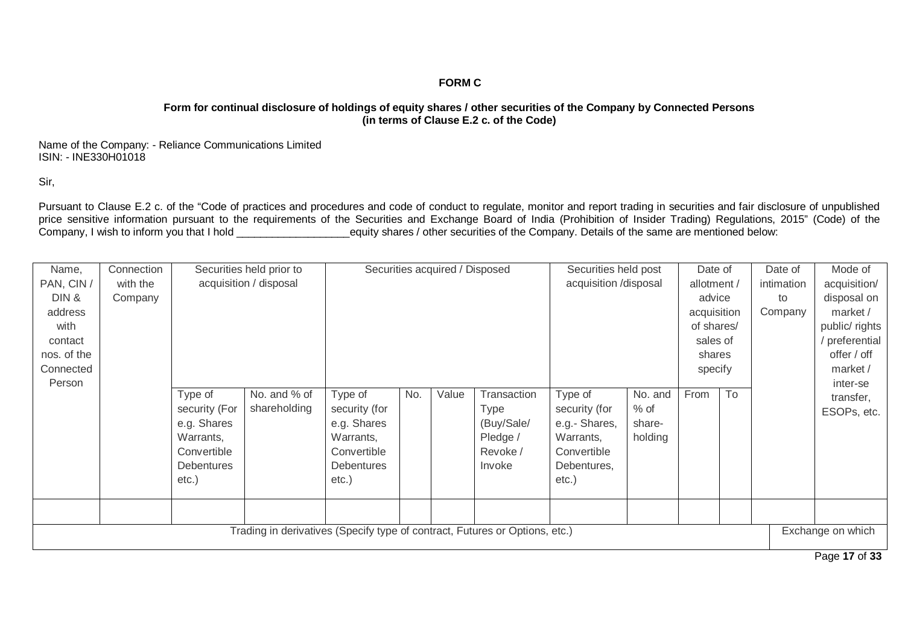## **FORM C**

## **Form for continual disclosure of holdings of equity shares / other securities of the Company by Connected Persons (in terms of Clause E.2 c. of the Code)**

Name of the Company: - Reliance Communications Limited ISIN: - INE330H01018

Sir,

Pursuant to Clause E.2 c. of the "Code of practices and procedures and code of conduct to regulate, monitor and report trading in securities and fair disclosure of unpublished price sensitive information pursuant to the requirements of the Securities and Exchange Board of India (Prohibition of Insider Trading) Regulations, 2015" (Code) of the Company, I wish to inform you that I hold \_\_\_\_\_\_\_\_\_\_\_\_\_\_\_\_\_\_\_equity shares / other securities of the Company. Details of the same are mentioned below:

| Name,       | Connection |                   | Securities held prior to                                                    |                   |     | Securities acquired / Disposed |                       | Securities held post |             | Date of     |            | Date of      | Mode of           |
|-------------|------------|-------------------|-----------------------------------------------------------------------------|-------------------|-----|--------------------------------|-----------------------|----------------------|-------------|-------------|------------|--------------|-------------------|
| PAN, CIN /  | with the   |                   | acquisition / disposal                                                      |                   |     |                                | acquisition /disposal |                      | allotment / |             | intimation | acquisition/ |                   |
| DIN &       | Company    |                   |                                                                             |                   |     |                                |                       |                      |             | advice      |            | to           | disposal on       |
| address     |            |                   |                                                                             |                   |     |                                |                       |                      |             | acquisition |            | Company      | market /          |
| with        |            |                   |                                                                             |                   |     |                                |                       |                      |             | of shares/  |            |              | public/ rights    |
| contact     |            |                   |                                                                             |                   |     |                                |                       |                      |             | sales of    |            |              | preferential      |
| nos. of the |            |                   |                                                                             |                   |     |                                |                       |                      |             | shares      |            |              | offer / off       |
| Connected   |            |                   |                                                                             |                   |     |                                |                       |                      |             | specify     |            |              | market /          |
| Person      |            |                   |                                                                             |                   |     |                                |                       |                      |             |             |            |              | inter-se          |
|             |            | Type of           | No. and % of                                                                | Type of           | No. | Value                          | Transaction           | Type of              | No. and     | From        | To         |              | transfer,         |
|             |            | security (For     | shareholding                                                                | security (for     |     |                                | <b>Type</b>           | security (for        | $%$ of      |             |            |              | ESOPs, etc.       |
|             |            | e.g. Shares       |                                                                             | e.g. Shares       |     |                                | (Buy/Sale/            | e.g.- Shares,        | share-      |             |            |              |                   |
|             |            | Warrants,         |                                                                             | Warrants,         |     |                                | Pledge /              | Warrants,            | holding     |             |            |              |                   |
|             |            | Convertible       |                                                                             | Convertible       |     |                                | Revoke /              | Convertible          |             |             |            |              |                   |
|             |            | <b>Debentures</b> |                                                                             | <b>Debentures</b> |     |                                | Invoke                | Debentures,          |             |             |            |              |                   |
|             |            | $etc.$ )          |                                                                             | $etc.$ )          |     |                                |                       | $etc.$ )             |             |             |            |              |                   |
|             |            |                   |                                                                             |                   |     |                                |                       |                      |             |             |            |              |                   |
|             |            |                   |                                                                             |                   |     |                                |                       |                      |             |             |            |              |                   |
|             |            |                   | Trading in derivatives (Specify type of contract, Futures or Options, etc.) |                   |     |                                |                       |                      |             |             |            |              | Exchange on which |
|             |            |                   |                                                                             |                   |     |                                |                       |                      |             |             |            |              | $P_1 = 47.00$     |

Page **17** of **33**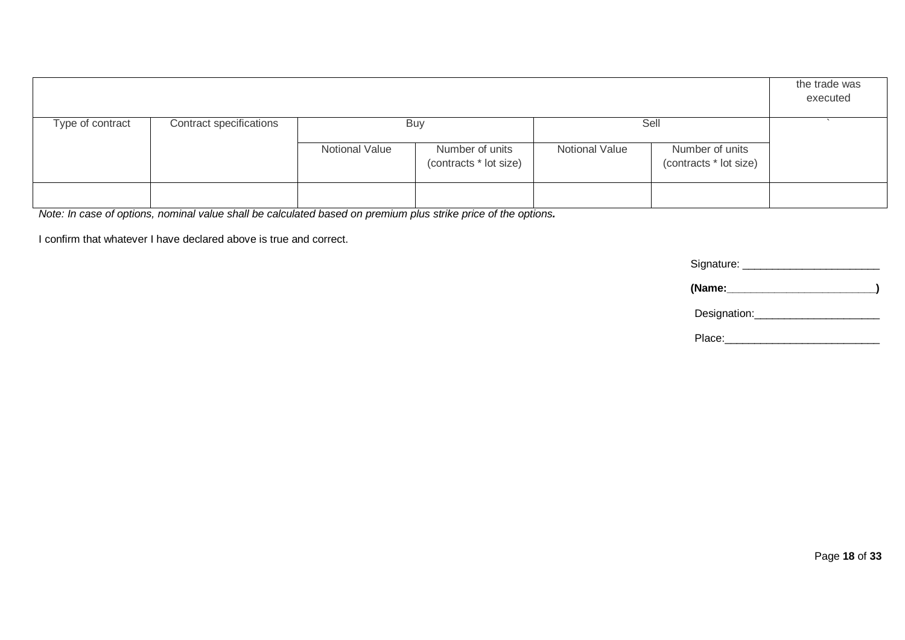|                  |                         |                       |                                                         |                       |                                                   | the trade was<br>executed |
|------------------|-------------------------|-----------------------|---------------------------------------------------------|-----------------------|---------------------------------------------------|---------------------------|
| Type of contract | Contract specifications | <b>Notional Value</b> | <b>Buy</b><br>Number of units<br>(contracts * lot size) | <b>Notional Value</b> | Sell<br>Number of units<br>(contracts * lot size) |                           |
|                  |                         |                       |                                                         |                       |                                                   |                           |

*Note: In case of options, nominal value shall be calculated based on premium plus strike price of the options.*

I confirm that whatever I have declared above is true and correct.

Signature: \_\_\_\_\_\_\_\_\_\_\_\_\_\_\_\_\_\_\_\_\_\_\_

 **(Name:\_\_\_\_\_\_\_\_\_\_\_\_\_\_\_\_\_\_\_\_\_\_\_\_\_)**

Designation:\_\_\_\_\_\_\_\_\_\_\_\_\_\_\_\_\_\_\_\_\_

Place:\_\_\_\_\_\_\_\_\_\_\_\_\_\_\_\_\_\_\_\_\_\_\_\_\_\_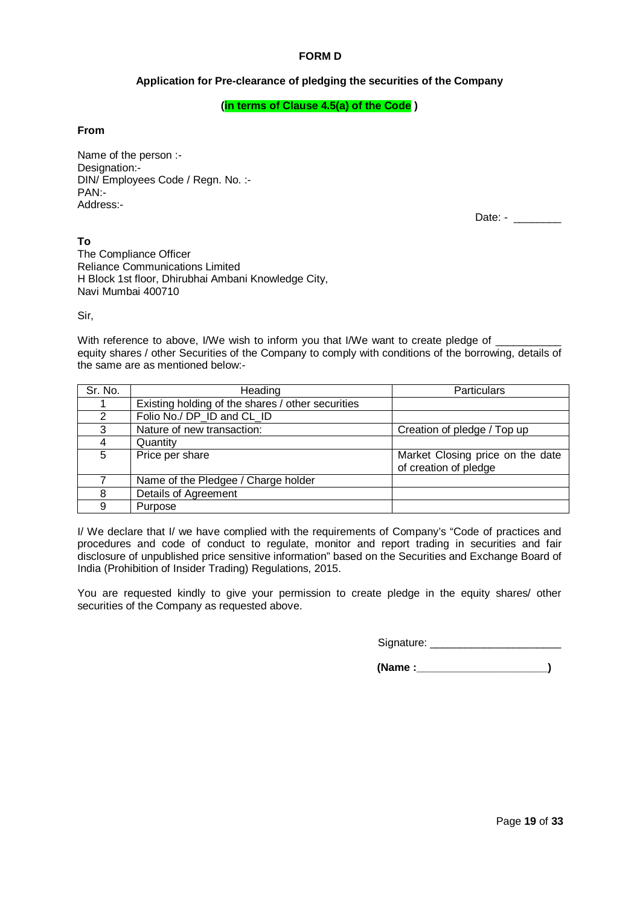## **FORM D**

## **Application for Pre-clearance of pledging the securities of the Company**

#### **(in terms of Clause 4.5(a) of the Code )**

#### **From**

Name of the person :- Designation:- DIN/ Employees Code / Regn. No. :- PAN:- Address:-

Date: - \_\_\_\_\_\_\_\_

**To** The Compliance Officer Reliance Communications Limited H Block 1st floor, Dhirubhai Ambani Knowledge City, Navi Mumbai 400710

Sir,

With reference to above, I/We wish to inform you that I/We want to create pledge of equity shares / other Securities of the Company to comply with conditions of the borrowing, details of the same are as mentioned below:-

| Sr. No. | Heading                                           | Particulars                      |
|---------|---------------------------------------------------|----------------------------------|
|         | Existing holding of the shares / other securities |                                  |
| 2       | Folio No./ DP_ID and CL_ID                        |                                  |
| 3       | Nature of new transaction:                        | Creation of pledge / Top up      |
|         | Quantity                                          |                                  |
| 5       | Price per share                                   | Market Closing price on the date |
|         |                                                   | of creation of pledge            |
|         | Name of the Pledgee / Charge holder               |                                  |
| 8       | Details of Agreement                              |                                  |
| 9       | Purpose                                           |                                  |

I/ We declare that I/ we have complied with the requirements of Company's "Code of practices and procedures and code of conduct to regulate, monitor and report trading in securities and fair disclosure of unpublished price sensitive information" based on the Securities and Exchange Board of India (Prohibition of Insider Trading) Regulations, 2015.

You are requested kindly to give your permission to create pledge in the equity shares/ other securities of the Company as requested above.

Signature:  $\Box$ 

 **(Name :\_\_\_\_\_\_\_\_\_\_\_\_\_\_\_\_\_\_\_\_\_\_)**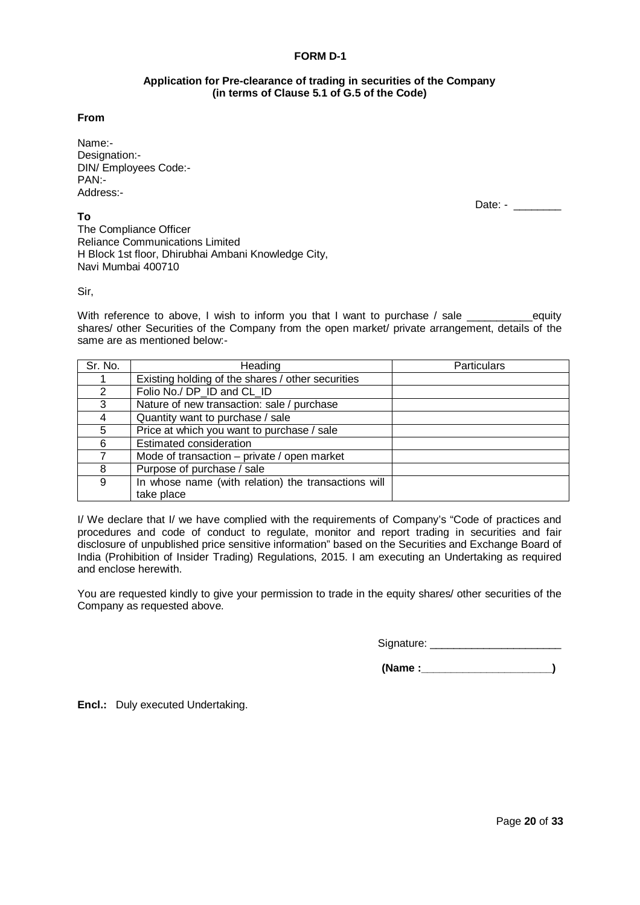## **FORM D-1**

#### **Application for Pre-clearance of trading in securities of the Company (in terms of Clause 5.1 of G.5 of the Code)**

#### **From**

Name:- Designation:- DIN/ Employees Code:- PAN:- Address:-

**To**

Date: - \_\_\_\_\_\_\_\_

The Compliance Officer Reliance Communications Limited H Block 1st floor, Dhirubhai Ambani Knowledge City, Navi Mumbai 400710

Sir,

With reference to above, I wish to inform you that I want to purchase / sale equity shares/ other Securities of the Company from the open market/ private arrangement, details of the same are as mentioned below:-

| Sr. No.      | Heading                                             | Particulars |
|--------------|-----------------------------------------------------|-------------|
|              | Existing holding of the shares / other securities   |             |
| 2            | Folio No./ DP_ID and CL_ID                          |             |
| $\mathbf{3}$ | Nature of new transaction: sale / purchase          |             |
|              | Quantity want to purchase / sale                    |             |
| 5            | Price at which you want to purchase / sale          |             |
| 6            | Estimated consideration                             |             |
|              | Mode of transaction - private / open market         |             |
| 8            | Purpose of purchase / sale                          |             |
| 9            | In whose name (with relation) the transactions will |             |
|              | take place                                          |             |

I/ We declare that I/ we have complied with the requirements of Company's "Code of practices and procedures and code of conduct to regulate, monitor and report trading in securities and fair disclosure of unpublished price sensitive information" based on the Securities and Exchange Board of India (Prohibition of Insider Trading) Regulations, 2015. I am executing an Undertaking as required and enclose herewith.

You are requested kindly to give your permission to trade in the equity shares/ other securities of the Company as requested above.

Signature: \_\_\_\_\_\_\_\_\_\_\_\_\_\_\_\_\_\_\_\_\_\_

 **(Name :\_\_\_\_\_\_\_\_\_\_\_\_\_\_\_\_\_\_\_\_\_\_)**

**Encl.:** Duly executed Undertaking.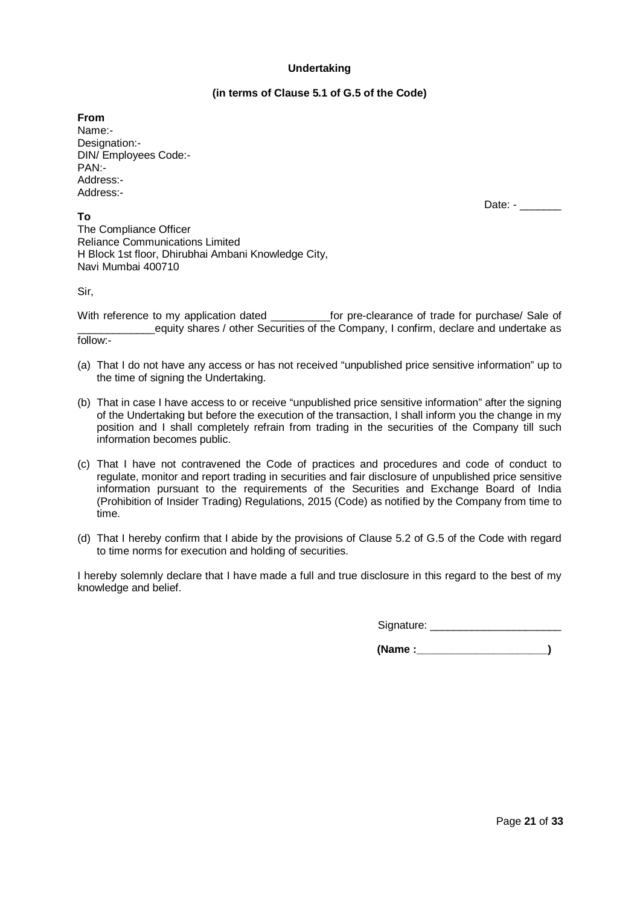### **Undertaking**

## **(in terms of Clause 5.1 of G.5 of the Code)**

**From** Name:- Designation:- DIN/ Employees Code:- PAN:- Address:- Address:-

**To**

Date: - \_\_\_\_\_\_

The Compliance Officer Reliance Communications Limited H Block 1st floor, Dhirubhai Ambani Knowledge City, Navi Mumbai 400710

Sir,

With reference to my application dated entity for pre-clearance of trade for purchase/ Sale of equity shares / other Securities of the Company, I confirm, declare and undertake as follow:-

- (a) That I do not have any access or has not received "unpublished price sensitive information" up to the time of signing the Undertaking.
- (b) That in case I have access to or receive "unpublished price sensitive information" after the signing of the Undertaking but before the execution of the transaction, I shall inform you the change in my position and I shall completely refrain from trading in the securities of the Company till such information becomes public.
- (c) That I have not contravened the Code of practices and procedures and code of conduct to regulate, monitor and report trading in securities and fair disclosure of unpublished price sensitive information pursuant to the requirements of the Securities and Exchange Board of India (Prohibition of Insider Trading) Regulations, 2015 (Code) as notified by the Company from time to time.
- (d) That I hereby confirm that I abide by the provisions of Clause 5.2 of G.5 of the Code with regard to time norms for execution and holding of securities.

I hereby solemnly declare that I have made a full and true disclosure in this regard to the best of my knowledge and belief.

Signature: \_\_\_\_\_\_\_\_\_\_\_\_\_\_\_\_\_\_\_\_\_\_

 **(Name :\_\_\_\_\_\_\_\_\_\_\_\_\_\_\_\_\_\_\_\_\_\_)**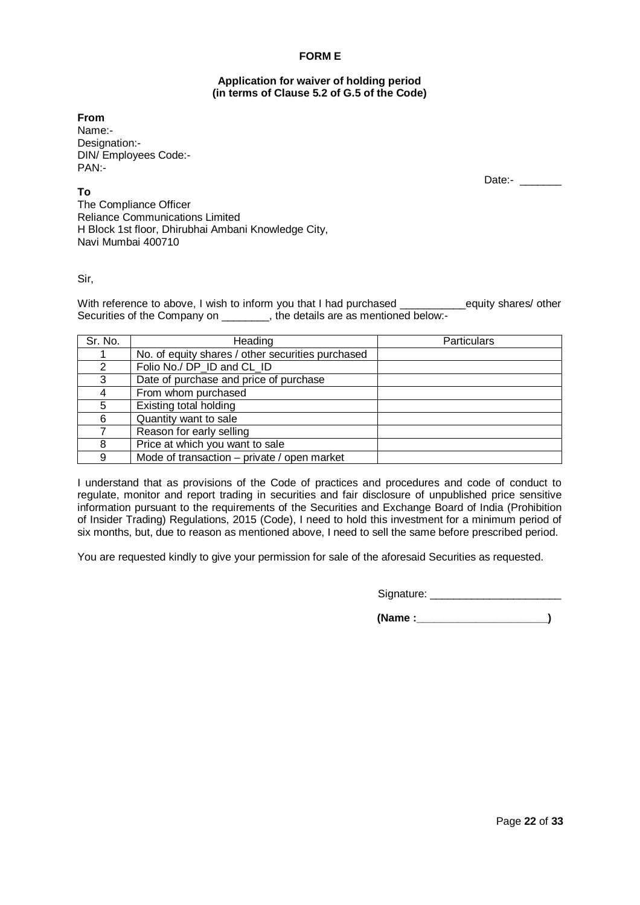## **FORM E**

#### **Application for waiver of holding period (in terms of Clause 5.2 of G.5 of the Code)**

**From** Name:- Designation:- DIN/ Employees Code:- PAN:-

**To**

Date:-

The Compliance Officer Reliance Communications Limited H Block 1st floor, Dhirubhai Ambani Knowledge City, Navi Mumbai 400710

#### Sir,

With reference to above, I wish to inform you that I had purchased \_\_\_\_\_\_\_\_equity shares/ other Securities of the Company on \_\_\_\_\_\_\_\_, the details are as mentioned below:-

| Sr. No. | Heading                                           | <b>Particulars</b> |
|---------|---------------------------------------------------|--------------------|
|         | No. of equity shares / other securities purchased |                    |
| 2       | Folio No./ DP ID and CL ID                        |                    |
| 3       | Date of purchase and price of purchase            |                    |
| 4       | From whom purchased                               |                    |
| 5       | Existing total holding                            |                    |
| 6       | Quantity want to sale                             |                    |
|         | Reason for early selling                          |                    |
| 8       | Price at which you want to sale                   |                    |
| 9       | Mode of transaction - private / open market       |                    |

I understand that as provisions of the Code of practices and procedures and code of conduct to regulate, monitor and report trading in securities and fair disclosure of unpublished price sensitive information pursuant to the requirements of the Securities and Exchange Board of India (Prohibition of Insider Trading) Regulations, 2015 (Code), I need to hold this investment for a minimum period of six months, but, due to reason as mentioned above, I need to sell the same before prescribed period.

You are requested kindly to give your permission for sale of the aforesaid Securities as requested.

Signature: \_\_\_\_\_\_\_\_\_\_\_\_\_\_\_\_\_\_\_\_\_\_

 **(Name :\_\_\_\_\_\_\_\_\_\_\_\_\_\_\_\_\_\_\_\_\_\_)**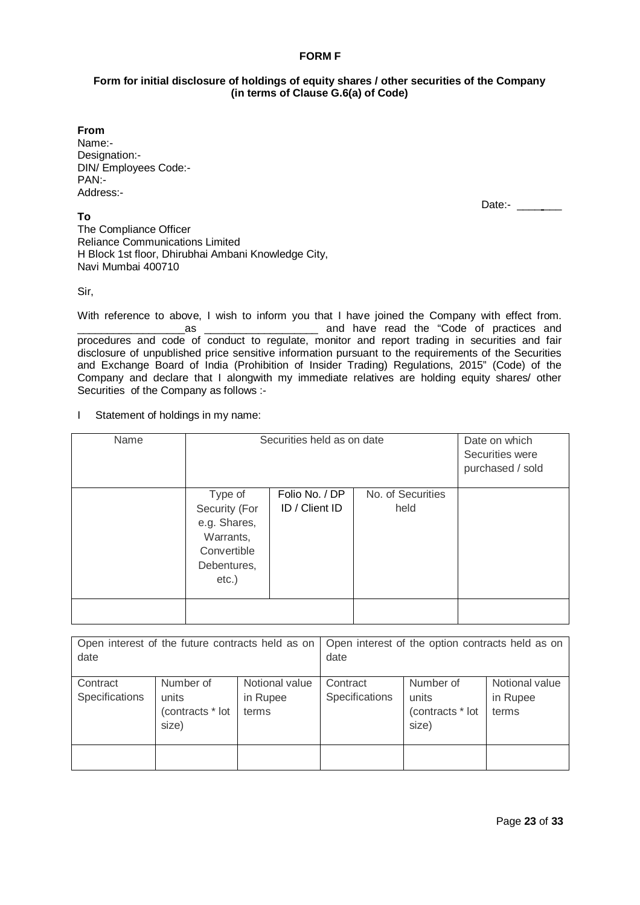## **FORM F**

## **Form for initial disclosure of holdings of equity shares / other securities of the Company (in terms of Clause G.6(a) of Code)**

**From**

Name:- Designation:- DIN/ Employees Code:- PAN:- Address:-

**To**

Date:- \_\_\_\_\_\_

The Compliance Officer Reliance Communications Limited H Block 1st floor, Dhirubhai Ambani Knowledge City, Navi Mumbai 400710

Sir,

With reference to above, I wish to inform you that I have joined the Company with effect from. \_\_\_\_\_\_\_\_\_\_\_\_\_\_\_\_\_\_as \_\_\_\_\_\_\_\_\_\_\_\_\_\_\_\_\_\_\_ and have read the "Code of practices and procedures and code of conduct to regulate, monitor and report trading in securities and fair disclosure of unpublished price sensitive information pursuant to the requirements of the Securities and Exchange Board of India (Prohibition of Insider Trading) Regulations, 2015" (Code) of the Company and declare that I alongwith my immediate relatives are holding equity shares/ other Securities of the Company as follows :-

I Statement of holdings in my name:

| Name | Securities held as on date                                                           | Date on which<br>Securities were<br>purchased / sold |                   |  |
|------|--------------------------------------------------------------------------------------|------------------------------------------------------|-------------------|--|
|      | Type of                                                                              | Folio No. / DP                                       | No. of Securities |  |
|      | Security (For<br>e.g. Shares,<br>Warrants,<br>Convertible<br>Debentures,<br>$etc.$ ) | ID / Client ID                                       | held              |  |
|      |                                                                                      |                                                      |                   |  |

| Open interest of the future contracts held as on<br>date |                                                 |                                     | date                       | Open interest of the option contracts held as on |                                     |
|----------------------------------------------------------|-------------------------------------------------|-------------------------------------|----------------------------|--------------------------------------------------|-------------------------------------|
| Contract<br>Specifications                               | Number of<br>units<br>(contracts * lot<br>size) | Notional value<br>in Rupee<br>terms | Contract<br>Specifications | Number of<br>units<br>(contracts * lot<br>size)  | Notional value<br>in Rupee<br>terms |
|                                                          |                                                 |                                     |                            |                                                  |                                     |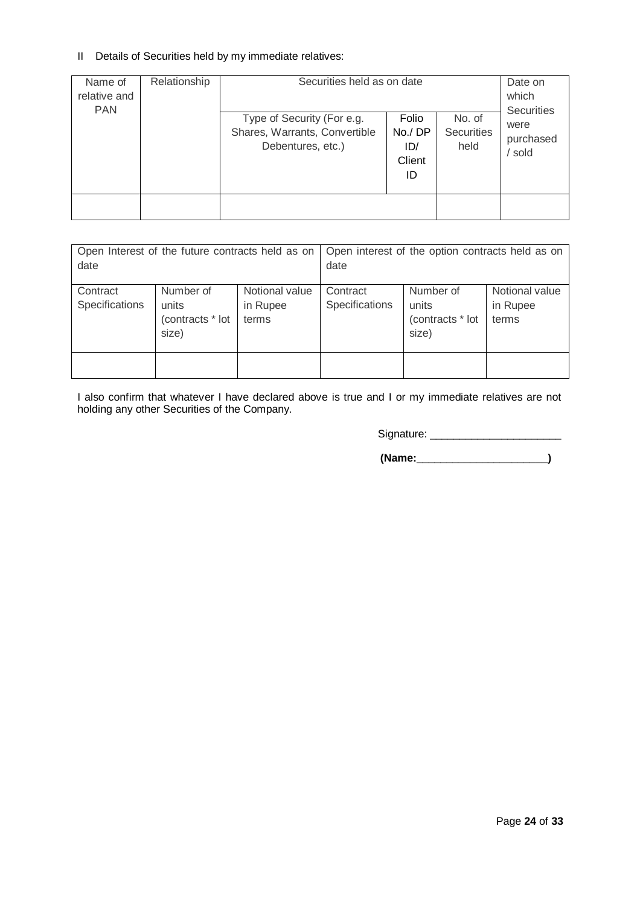# II Details of Securities held by my immediate relatives:

| Name of<br>relative and<br><b>PAN</b> | Relationship | Securities held as on date<br>Type of Security (For e.g.<br>Shares, Warrants, Convertible<br>Debentures, etc.) | Folio<br>No./DP<br>ID/<br>Client<br>ID | No. of<br><b>Securities</b><br>held | Date on<br>which<br><b>Securities</b><br>were<br>purchased<br>sold |
|---------------------------------------|--------------|----------------------------------------------------------------------------------------------------------------|----------------------------------------|-------------------------------------|--------------------------------------------------------------------|
|                                       |              |                                                                                                                |                                        |                                     |                                                                    |
|                                       |              |                                                                                                                |                                        |                                     |                                                                    |

| Open Interest of the future contracts held as on<br>date |                                                 |                                     | date                       | Open interest of the option contracts held as on |                                     |
|----------------------------------------------------------|-------------------------------------------------|-------------------------------------|----------------------------|--------------------------------------------------|-------------------------------------|
| Contract<br>Specifications                               | Number of<br>units<br>(contracts * lot<br>size) | Notional value<br>in Rupee<br>terms | Contract<br>Specifications | Number of<br>units<br>(contracts * lot<br>size)  | Notional value<br>in Rupee<br>terms |
|                                                          |                                                 |                                     |                            |                                                  |                                     |

I also confirm that whatever I have declared above is true and I or my immediate relatives are not holding any other Securities of the Company.

Signature: \_\_\_\_\_\_\_\_\_\_\_\_\_\_\_\_\_\_\_\_\_\_

 **(Name:\_\_\_\_\_\_\_\_\_\_\_\_\_\_\_\_\_\_\_\_\_\_)**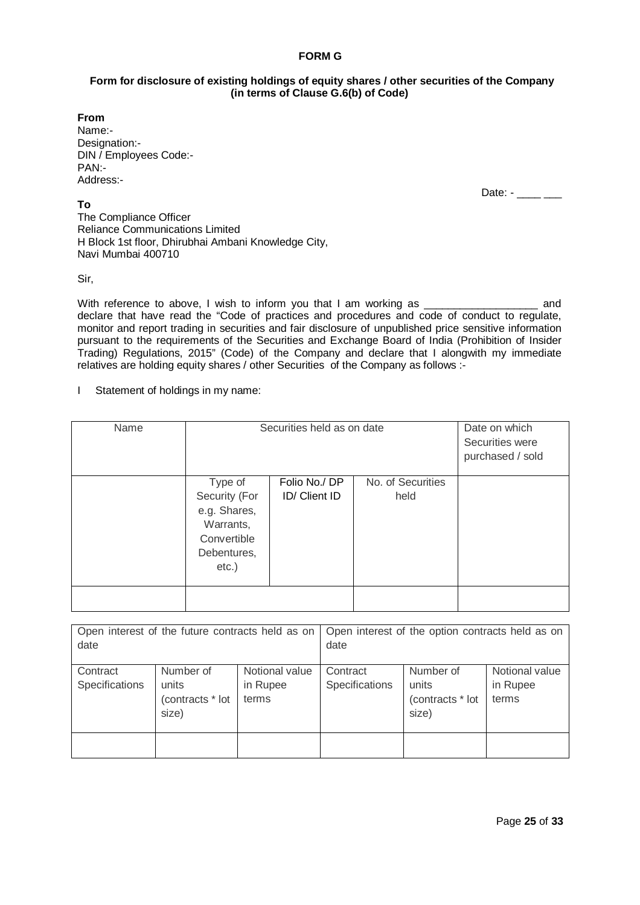## **FORM G**

## **Form for disclosure of existing holdings of equity shares / other securities of the Company (in terms of Clause G.6(b) of Code)**

**From** Name:- Designation:- DIN / Employees Code:- PAN:- Address:-

Date:  $-$  \_\_\_\_\_\_

**To** The Compliance Officer Reliance Communications Limited H Block 1st floor, Dhirubhai Ambani Knowledge City, Navi Mumbai 400710

Sir,

With reference to above, I wish to inform you that I am working as  $\Box$  and declare that have read the "Code of practices and procedures and code of conduct to regulate, monitor and report trading in securities and fair disclosure of unpublished price sensitive information pursuant to the requirements of the Securities and Exchange Board of India (Prohibition of Insider Trading) Regulations, 2015" (Code) of the Company and declare that I alongwith my immediate relatives are holding equity shares / other Securities of the Company as follows :-

I Statement of holdings in my name:

| Name | Securities held as on date                                                          | Date on which<br>Securities were<br>purchased / sold |                           |  |
|------|-------------------------------------------------------------------------------------|------------------------------------------------------|---------------------------|--|
|      | Type of<br>Security (For<br>e.g. Shares,<br>Warrants,<br>Convertible<br>Debentures, | Folio No./ DP<br>ID/ Client ID                       | No. of Securities<br>held |  |
|      | $etc.$ )                                                                            |                                                      |                           |  |

| Open interest of the future contracts held as on<br>date |                                                 |                                     | date                       | Open interest of the option contracts held as on |                                     |
|----------------------------------------------------------|-------------------------------------------------|-------------------------------------|----------------------------|--------------------------------------------------|-------------------------------------|
| Contract<br>Specifications                               | Number of<br>units<br>(contracts * lot<br>size) | Notional value<br>in Rupee<br>terms | Contract<br>Specifications | Number of<br>units<br>(contracts * lot<br>size)  | Notional value<br>in Rupee<br>terms |
|                                                          |                                                 |                                     |                            |                                                  |                                     |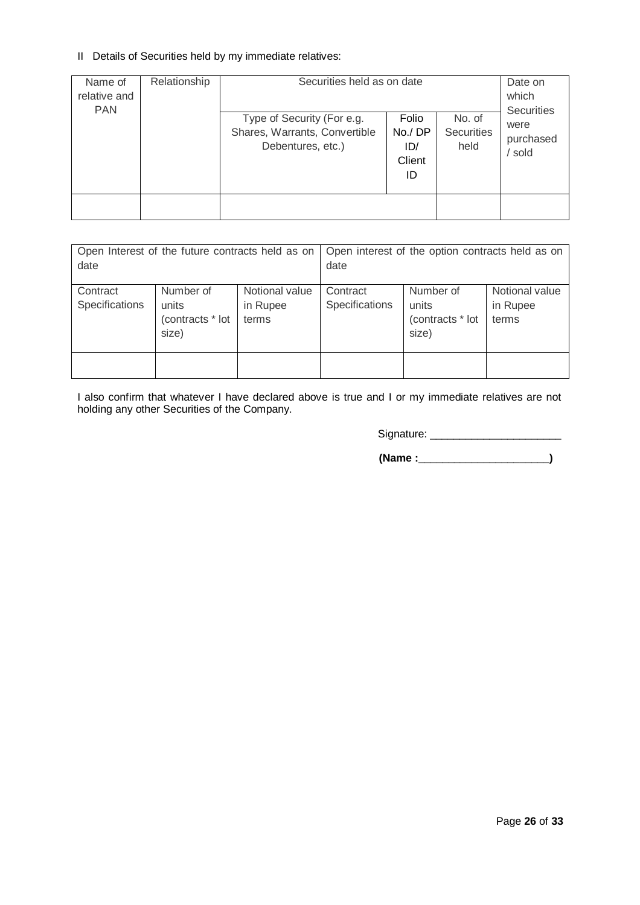## II Details of Securities held by my immediate relatives:

| Name of<br>relative and<br><b>PAN</b> | Relationship | Securities held as on date<br>Type of Security (For e.g.<br>Shares, Warrants, Convertible<br>Debentures, etc.) | Folio<br>No./DP<br>ID/<br>Client<br>ID | No. of<br><b>Securities</b><br>held | Date on<br>which<br><b>Securities</b><br>were<br>purchased<br>sold |
|---------------------------------------|--------------|----------------------------------------------------------------------------------------------------------------|----------------------------------------|-------------------------------------|--------------------------------------------------------------------|
|                                       |              |                                                                                                                |                                        |                                     |                                                                    |

| Open Interest of the future contracts held as on<br>date |                                                 |                                     | date                       | Open interest of the option contracts held as on |                                     |
|----------------------------------------------------------|-------------------------------------------------|-------------------------------------|----------------------------|--------------------------------------------------|-------------------------------------|
| Contract<br>Specifications                               | Number of<br>units<br>(contracts * lot<br>size) | Notional value<br>in Rupee<br>terms | Contract<br>Specifications | Number of<br>units<br>(contracts * lot<br>size)  | Notional value<br>in Rupee<br>terms |
|                                                          |                                                 |                                     |                            |                                                  |                                     |

I also confirm that whatever I have declared above is true and I or my immediate relatives are not holding any other Securities of the Company.

Signature: \_\_\_\_\_\_\_\_\_\_\_\_\_\_\_\_\_\_\_\_\_\_

 **(Name :\_\_\_\_\_\_\_\_\_\_\_\_\_\_\_\_\_\_\_\_\_\_)**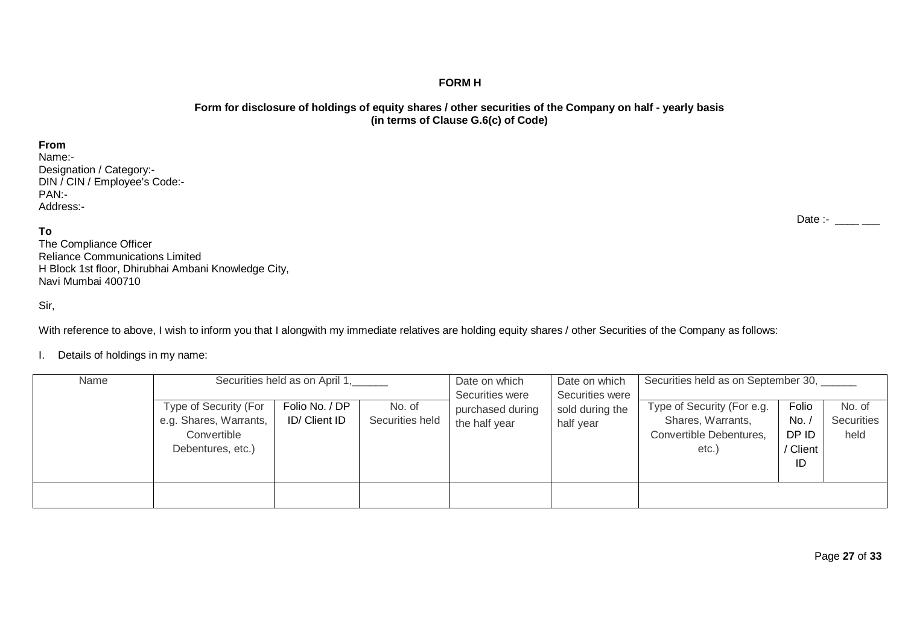## **FORM H**

## **Form for disclosure of holdings of equity shares / other securities of the Company on half - yearly basis (in terms of Clause G.6(c) of Code)**

### **From**

Name:- Designation / Category:- DIN / CIN / Employee's Code:- PAN:- Address:-

## **To**

The Compliance Officer Reliance Communications Limited H Block 1st floor, Dhirubhai Ambani Knowledge City, Navi Mumbai 400710

## Sir,

With reference to above, I wish to inform you that I alongwith my immediate relatives are holding equity shares / other Securities of the Company as follows:

## I. Details of holdings in my name:

| Name | Securities held as on April 1,                                                      |                                 |                           | Date on which<br>Securities were  | Date on which<br>Securities were | Securities held as on September 30,                                                 |                                       |                              |
|------|-------------------------------------------------------------------------------------|---------------------------------|---------------------------|-----------------------------------|----------------------------------|-------------------------------------------------------------------------------------|---------------------------------------|------------------------------|
|      | Type of Security (For<br>e.g. Shares, Warrants,<br>Convertible<br>Debentures, etc.) | Folio No. / DP<br>ID/ Client ID | No. of<br>Securities held | purchased during<br>the half year | sold during the<br>half year     | Type of Security (For e.g.<br>Shares, Warrants,<br>Convertible Debentures,<br>etc.) | Folio<br>No.<br>DP ID<br>Client<br>ID | No. of<br>Securities<br>held |
|      |                                                                                     |                                 |                           |                                   |                                  |                                                                                     |                                       |                              |

Date :-  $\frac{1}{2}$  \_\_\_\_\_\_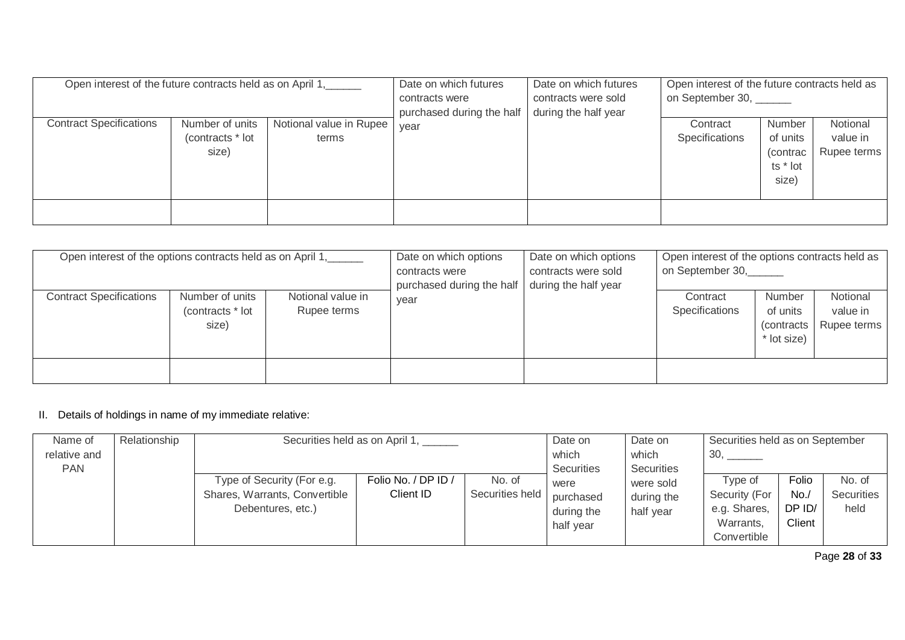| Open interest of the future contracts held as on April 1, |                                              |                                  | Date on which futures<br>contracts were<br>purchased during the half | Date on which futures<br>contracts were sold<br>during the half year | Open interest of the future contracts held as<br>on September 30, ______ |                                                             |                                     |
|-----------------------------------------------------------|----------------------------------------------|----------------------------------|----------------------------------------------------------------------|----------------------------------------------------------------------|--------------------------------------------------------------------------|-------------------------------------------------------------|-------------------------------------|
| <b>Contract Specifications</b>                            | Number of units<br>(contracts * lot<br>size) | Notional value in Rupee<br>terms | year                                                                 |                                                                      | Contract<br>Specifications                                               | <b>Number</b><br>of units<br>(contrac)<br>ts * lot<br>size) | Notional<br>value in<br>Rupee terms |
|                                                           |                                              |                                  |                                                                      |                                                                      |                                                                          |                                                             |                                     |

| Open interest of the options contracts held as on April 1, |                                              |                                  | Date on which options<br>contracts were<br>purchased during the half | Date on which options<br>contracts were sold<br>during the half year | Open interest of the options contracts held as<br>on September 30, |                                                  |                                     |
|------------------------------------------------------------|----------------------------------------------|----------------------------------|----------------------------------------------------------------------|----------------------------------------------------------------------|--------------------------------------------------------------------|--------------------------------------------------|-------------------------------------|
| <b>Contract Specifications</b>                             | Number of units<br>(contracts * lot<br>size) | Notional value in<br>Rupee terms | year                                                                 |                                                                      | Contract<br>Specifications                                         | Number<br>of units<br>(contracts)<br>* lot size) | Notional<br>value in<br>Rupee terms |
|                                                            |                                              |                                  |                                                                      |                                                                      |                                                                    |                                                  |                                     |

# II. Details of holdings in name of my immediate relative:

| Name of      | Relationship | Securities held as on April 1, ______ |                     |                 | Date on           | Date on    | Securities held as on September |        |                   |
|--------------|--------------|---------------------------------------|---------------------|-----------------|-------------------|------------|---------------------------------|--------|-------------------|
| relative and |              |                                       |                     |                 | which             | which      | 30,                             |        |                   |
| <b>PAN</b>   |              |                                       |                     |                 | <b>Securities</b> | Securities |                                 |        |                   |
|              |              | Type of Security (For e.g.            | Folio No. / DP ID / | No. of          | were              | were sold  | Tvpe of                         | Folio  | No. of            |
|              |              | Shares, Warrants, Convertible         | Client ID           | Securities held | purchased         | during the | Security (For                   | No.    | <b>Securities</b> |
|              |              | Debentures, etc.)                     |                     |                 | during the        | half year  | e.g. Shares,                    | DP ID/ | held              |
|              |              |                                       |                     |                 | half year         |            | Warrants,                       | Client |                   |
|              |              |                                       |                     |                 |                   |            | Convertible                     |        |                   |

Page **28** of **33**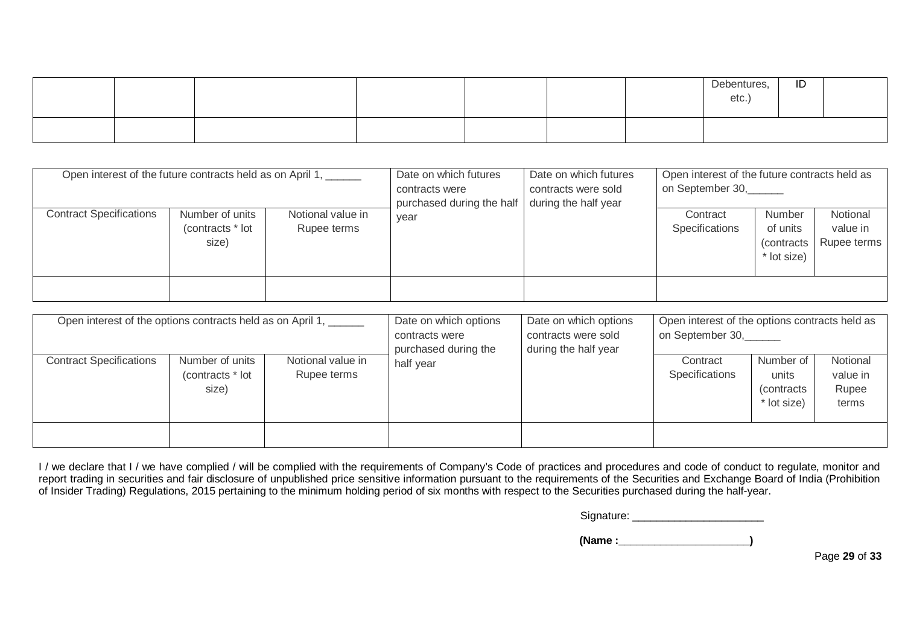|  |  |  | Debentures<br>etc | ID |  |
|--|--|--|-------------------|----|--|
|  |  |  |                   |    |  |

| Open interest of the future contracts held as on April 1, |                                              |                                  | Date on which futures<br>contracts were<br>purchased during the half | Date on which futures<br>contracts were sold<br>during the half year | Open interest of the future contracts held as<br>on September 30, |                                                  |                                     |  |
|-----------------------------------------------------------|----------------------------------------------|----------------------------------|----------------------------------------------------------------------|----------------------------------------------------------------------|-------------------------------------------------------------------|--------------------------------------------------|-------------------------------------|--|
| <b>Contract Specifications</b>                            | Number of units<br>(contracts * lot<br>size) | Notional value in<br>Rupee terms | year                                                                 |                                                                      | Contract<br>Specifications                                        | Number<br>of units<br>(contracts)<br>* lot size) | Notional<br>value in<br>Rupee terms |  |
|                                                           |                                              |                                  |                                                                      |                                                                      |                                                                   |                                                  |                                     |  |

| Open interest of the options contracts held as on April 1, |                                              |                                  | Date on which options<br>contracts were<br>purchased during the | Open interest of the options contracts held as<br>Date on which options<br>on September 30,<br>contracts were sold<br>during the half year |                            |                                                  |                                        |  |
|------------------------------------------------------------|----------------------------------------------|----------------------------------|-----------------------------------------------------------------|--------------------------------------------------------------------------------------------------------------------------------------------|----------------------------|--------------------------------------------------|----------------------------------------|--|
| <b>Contract Specifications</b>                             | Number of units<br>(contracts * lot<br>size) | Notional value in<br>Rupee terms | half year                                                       |                                                                                                                                            | Contract<br>Specifications | Number of<br>units<br>(contracts)<br>* lot size) | Notional<br>value in<br>Rupee<br>terms |  |
|                                                            |                                              |                                  |                                                                 |                                                                                                                                            |                            |                                                  |                                        |  |

I / we declare that I / we have complied / will be complied with the requirements of Company's Code of practices and procedures and code of conduct to regulate, monitor and report trading in securities and fair disclosure of unpublished price sensitive information pursuant to the requirements of the Securities and Exchange Board of India (Prohibition of Insider Trading) Regulations, 2015 pertaining to the minimum holding period of six months with respect to the Securities purchased during the half-year.

Signature: \_\_\_\_\_\_\_\_\_\_\_\_\_\_\_\_\_\_\_\_\_\_

 **(Name :\_\_\_\_\_\_\_\_\_\_\_\_\_\_\_\_\_\_\_\_\_\_)**

Page **29** of **33**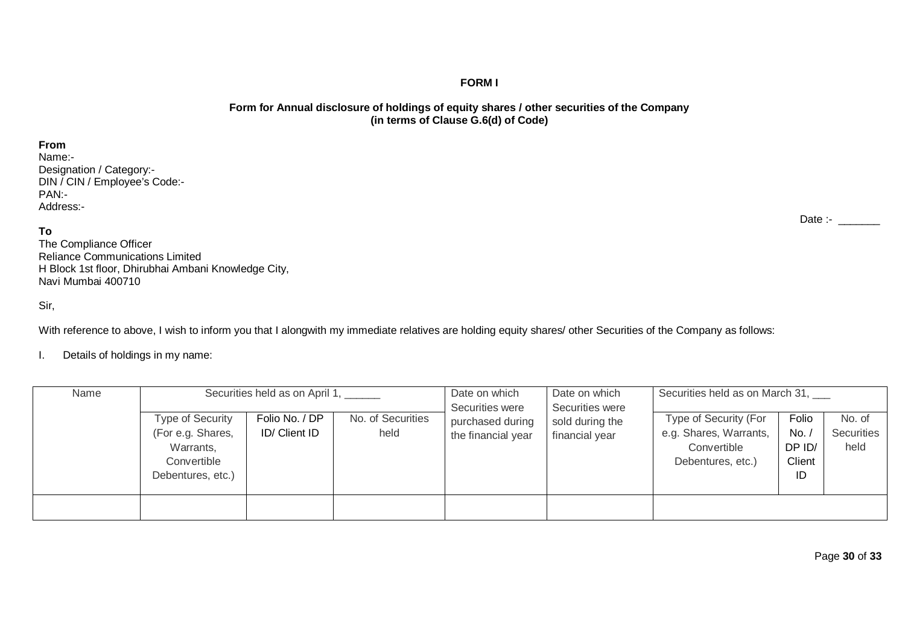## **FORM I**

## **Form for Annual disclosure of holdings of equity shares / other securities of the Company (in terms of Clause G.6(d) of Code)**

## **From**

Name:- Designation / Category:- DIN / CIN / Employee's Code:- PAN:- Address:-

## **To**

The Compliance Officer Reliance Communications Limited H Block 1st floor, Dhirubhai Ambani Knowledge City, Navi Mumbai 400710

Sir,

With reference to above, I wish to inform you that I alongwith my immediate relatives are holding equity shares/ other Securities of the Company as follows:

I. Details of holdings in my name:

| Name | Type of Security<br>(For e.g. Shares,<br>Warrants,<br>Convertible<br>Debentures, etc.) | Securities held as on April 1,<br>Folio No. / DP<br>ID/ Client ID | No. of Securities<br>held | Date on which<br>Securities were<br>purchased during<br>the financial year | Date on which<br>Securities were<br>sold during the<br>financial year | Securities held as on March 31,<br>Type of Security (For<br>e.g. Shares, Warrants,<br>Convertible<br>Debentures, etc.) | Folio<br>No.<br>DP ID/<br>Client<br>ID | No. of<br>Securities<br>held |
|------|----------------------------------------------------------------------------------------|-------------------------------------------------------------------|---------------------------|----------------------------------------------------------------------------|-----------------------------------------------------------------------|------------------------------------------------------------------------------------------------------------------------|----------------------------------------|------------------------------|
|      |                                                                                        |                                                                   |                           |                                                                            |                                                                       |                                                                                                                        |                                        |                              |

Date :- \_\_\_\_\_\_\_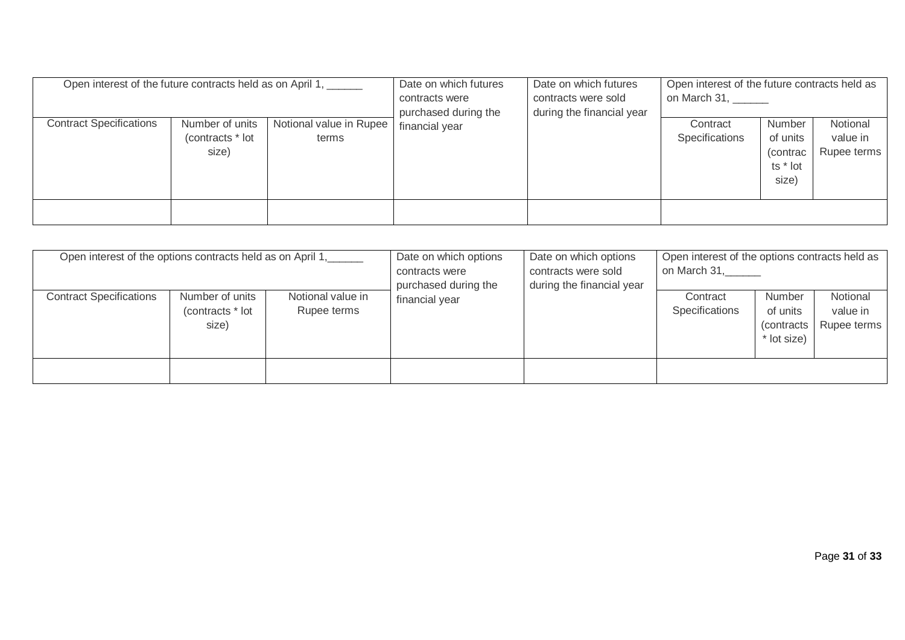| Open interest of the future contracts held as on April 1, |                                              |                                  | Date on which futures<br>contracts were | Date on which futures<br>contracts were sold<br>during the financial year | Open interest of the future contracts held as<br>on March 31, ______ |                                                      |                                     |  |
|-----------------------------------------------------------|----------------------------------------------|----------------------------------|-----------------------------------------|---------------------------------------------------------------------------|----------------------------------------------------------------------|------------------------------------------------------|-------------------------------------|--|
| <b>Contract Specifications</b>                            | Number of units<br>(contracts * lot<br>size) | Notional value in Rupee<br>terms | purchased during the<br>financial year  |                                                                           | Contract<br>Specifications                                           | Number<br>of units<br>(contrac)<br>ts * lot<br>size) | Notional<br>value in<br>Rupee terms |  |
|                                                           |                                              |                                  |                                         |                                                                           |                                                                      |                                                      |                                     |  |

| Open interest of the options contracts held as on April 1, |                                              |                                  | Date on which options<br>contracts were<br>purchased during the | Date on which options<br>contracts were sold<br>during the financial year | Open interest of the options contracts held as<br>on March 31, |                                                  |                                     |  |
|------------------------------------------------------------|----------------------------------------------|----------------------------------|-----------------------------------------------------------------|---------------------------------------------------------------------------|----------------------------------------------------------------|--------------------------------------------------|-------------------------------------|--|
| <b>Contract Specifications</b>                             | Number of units<br>(contracts * lot<br>size) | Notional value in<br>Rupee terms | financial year                                                  |                                                                           | Contract<br>Specifications                                     | Number<br>of units<br>(contracts)<br>* lot size) | Notional<br>value in<br>Rupee terms |  |
|                                                            |                                              |                                  |                                                                 |                                                                           |                                                                |                                                  |                                     |  |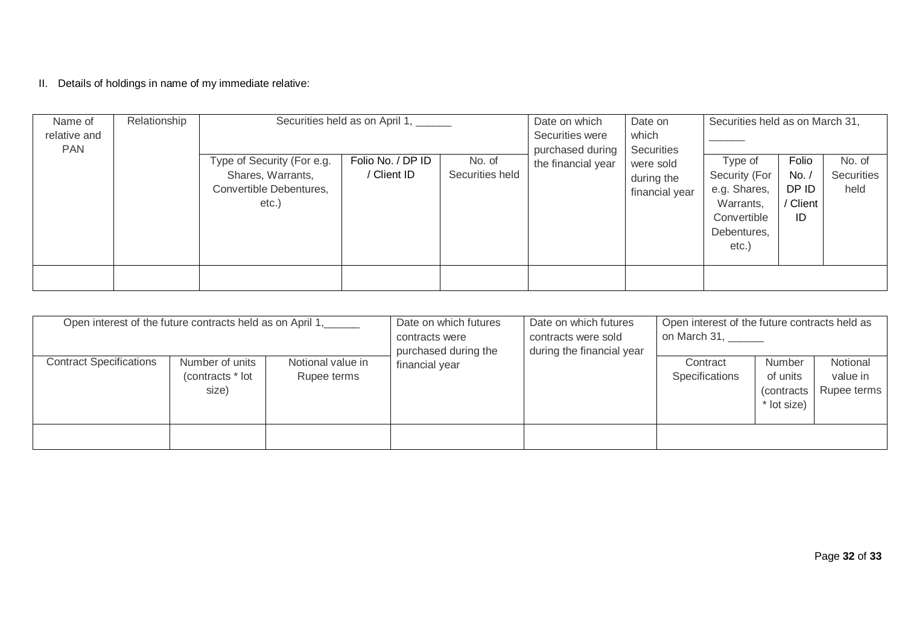II. Details of holdings in name of my immediate relative:

| Name of      | Relationship | Securities held as on April 1, ______                                               |                                  |                           | Date on which                          | Securities held as on March 31,<br>Date on              |                                                                                     |                                         |                              |
|--------------|--------------|-------------------------------------------------------------------------------------|----------------------------------|---------------------------|----------------------------------------|---------------------------------------------------------|-------------------------------------------------------------------------------------|-----------------------------------------|------------------------------|
| relative and |              |                                                                                     |                                  |                           | Securities were                        | which                                                   |                                                                                     |                                         |                              |
| <b>PAN</b>   |              | Type of Security (For e.g.<br>Shares, Warrants,<br>Convertible Debentures,<br>etc.) | Folio No. / DP ID<br>/ Client ID | No. of<br>Securities held | purchased during<br>the financial year | Securities<br>were sold<br>during the<br>financial year | Type of<br>Security (For<br>e.g. Shares,<br>Warrants,<br>Convertible<br>Debentures, | Folio<br>No.<br>DP ID<br>/ Client<br>ID | No. of<br>Securities<br>held |
|              |              |                                                                                     |                                  |                           |                                        |                                                         | $etc.$ )                                                                            |                                         |                              |

| Open interest of the future contracts held as on April 1, |                                              |                                  | Date on which futures<br>contracts were<br>purchased during the | Date on which futures<br>contracts were sold<br>during the financial year | Open interest of the future contracts held as<br>on March 31, |                                                  |                                     |  |
|-----------------------------------------------------------|----------------------------------------------|----------------------------------|-----------------------------------------------------------------|---------------------------------------------------------------------------|---------------------------------------------------------------|--------------------------------------------------|-------------------------------------|--|
| <b>Contract Specifications</b>                            | Number of units<br>(contracts * lot<br>size) | Notional value in<br>Rupee terms | financial year                                                  |                                                                           | Contract<br>Specifications                                    | Number<br>of units<br>(contracts)<br>* lot size) | Notional<br>value in<br>Rupee terms |  |
|                                                           |                                              |                                  |                                                                 |                                                                           |                                                               |                                                  |                                     |  |